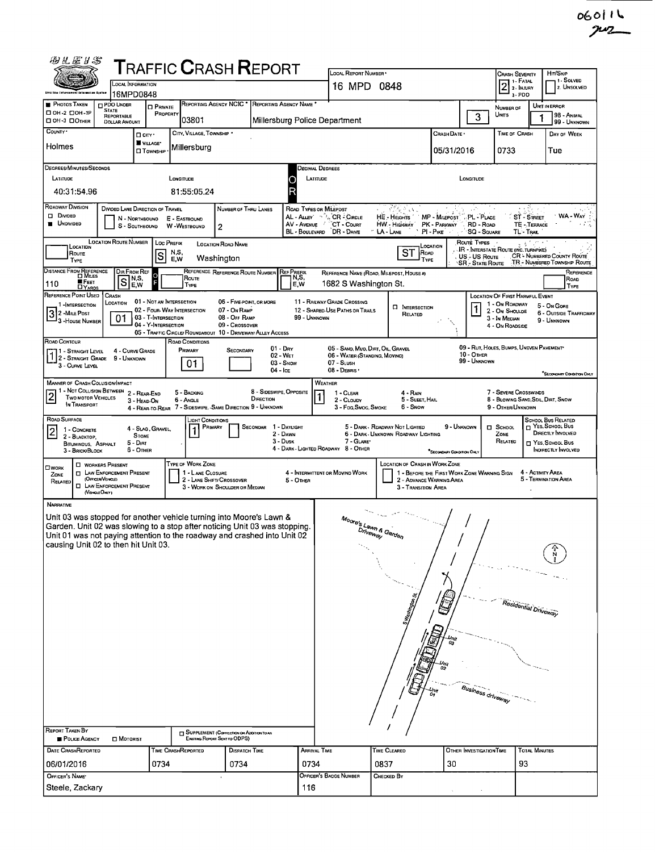| 羽汇运》之                                                                                                                                                                                                                                                                                                                                                                                                                                                                                                                                       |                                                                                                                       |                                            | <b>TRAFFIC CRASH REPORT</b>                                                               |                                                                           |          |                                                 | LOCAL REPORT NUMBER                                                              |                                                                                          |                                             |                                                                                          | <b>CRASH SEVERITY</b>                              |                           | HIT/SKIP                                                     |  |  |  |
|---------------------------------------------------------------------------------------------------------------------------------------------------------------------------------------------------------------------------------------------------------------------------------------------------------------------------------------------------------------------------------------------------------------------------------------------------------------------------------------------------------------------------------------------|-----------------------------------------------------------------------------------------------------------------------|--------------------------------------------|-------------------------------------------------------------------------------------------|---------------------------------------------------------------------------|----------|-------------------------------------------------|----------------------------------------------------------------------------------|------------------------------------------------------------------------------------------|---------------------------------------------|------------------------------------------------------------------------------------------|----------------------------------------------------|---------------------------|--------------------------------------------------------------|--|--|--|
| <b>Ghio teo Enlarcse</b>                                                                                                                                                                                                                                                                                                                                                                                                                                                                                                                    | LOCAL INFORMATION                                                                                                     |                                            |                                                                                           |                                                                           |          |                                                 | 16 MPD 0848                                                                      |                                                                                          |                                             | $2$<br>$\frac{1}{2}$<br>$\frac{1}{2}$<br>$\frac{1}{2}$<br>$\frac{1}{2}$<br>$\frac{1}{2}$ |                                                    | 1 - Solved<br>2. Unsolved |                                                              |  |  |  |
| <b>PHOTOS TAKEN</b><br>□ 0Н-2 □ 0Н-1Р                                                                                                                                                                                                                                                                                                                                                                                                                                                                                                       | 16MPD0848<br><b>PDO UNDER</b><br><b>STATE</b>                                                                         | <b>O</b> PRIVATE                           |                                                                                           |                                                                           |          | REPORTING AGENCY NCIC * REPORTING AGENCY NAME * |                                                                                  |                                                                                          |                                             |                                                                                          | 3-PDO<br>NUMBER OF                                 |                           | UNIT IN ERROR                                                |  |  |  |
| OH-3 OOTHER<br>COUNTY *                                                                                                                                                                                                                                                                                                                                                                                                                                                                                                                     | REPORTABLE<br><b>DOLLAR AMOUNT</b>                                                                                    | PROPERTY                                   | 03801                                                                                     |                                                                           |          | Millersburg Police Department                   |                                                                                  |                                                                                          |                                             | 3                                                                                        | UNITS                                              |                           | <b>98 - ANMAL</b><br>99 - UNKNOWN                            |  |  |  |
| Holmes                                                                                                                                                                                                                                                                                                                                                                                                                                                                                                                                      |                                                                                                                       | □ crv·<br>VILLAGE*                         | CITY, VILLAGE, TOWNSHIP .<br>Millersburg                                                  |                                                                           |          |                                                 |                                                                                  |                                                                                          | CRASH DATE                                  |                                                                                          | TIME OF CRASH                                      |                           | DAY OF WEEK                                                  |  |  |  |
| DEGREES/MINUTES/SECONDS                                                                                                                                                                                                                                                                                                                                                                                                                                                                                                                     |                                                                                                                       | <b>O</b> TOWNSHIP                          |                                                                                           |                                                                           |          |                                                 | 05/31/2016<br>0733<br>Tue<br>Decimal Degrees                                     |                                                                                          |                                             |                                                                                          |                                                    |                           |                                                              |  |  |  |
| LATITUDE                                                                                                                                                                                                                                                                                                                                                                                                                                                                                                                                    |                                                                                                                       |                                            | LONGITUDE                                                                                 |                                                                           |          | LATITUDE                                        |                                                                                  |                                                                                          |                                             | LONGITUDE                                                                                |                                                    |                           |                                                              |  |  |  |
| 40:31:54.96                                                                                                                                                                                                                                                                                                                                                                                                                                                                                                                                 |                                                                                                                       |                                            | 81:55:05.24                                                                               |                                                                           |          |                                                 |                                                                                  |                                                                                          |                                             |                                                                                          |                                                    |                           |                                                              |  |  |  |
| <b>ROADWAY DIVISION</b><br>क करीबा क<br>DIVIDED LANE DIRECTION OF TRAVEL<br>NUMBER OF THRU LANES<br>ROAD TYPES OR MILEPOST<br>30 Mars 2<br><b>D</b> Divided<br>WA - Way<br>AL - ALLEY 5 % CR - CIRCLE<br>MP - MILEPOST PL - PLACE<br>ST - STREET<br>HE - HEIGHTS<br>N - NORTHBOUND<br>E - EASTBOUND<br><b>UNDIVIDED</b><br>AV - AVENUE CT - COURT<br>HW - Higi way<br>PK - PARKWAY<br>RD - Road<br>TE - TERRACE<br>S - SOUTHBOUND<br>W WESTBOUND<br>2<br>BL - BOULEVARD DR - DRIVE<br>PI-Pike<br><b>SQ - SQUARE</b><br>LA-LANE<br>TL - Tral |                                                                                                                       |                                            |                                                                                           |                                                                           |          |                                                 |                                                                                  |                                                                                          |                                             |                                                                                          |                                                    |                           | the sale                                                     |  |  |  |
| <b>LOCATION ROUTE NUMBER</b><br>Route Types<br><b>LOC PREFIX</b><br><b>LOCATION ROAD NAME</b><br><b>CCATION</b><br>LOCATION<br><b>IR - INTERSTATE ROUTE (INC. TURNPIKE)</b><br>ST ROAD<br>N,S,<br>Route<br>ls<br><b>CR - NUMBERED COUNTY ROUTE</b><br>US - US Route<br>E.W<br>Washington<br>TYPE<br>TYPE<br>TR - NUMBERED TOWNSHIP ROUTE<br>'SR - State Route                                                                                                                                                                               |                                                                                                                       |                                            |                                                                                           |                                                                           |          |                                                 |                                                                                  |                                                                                          |                                             |                                                                                          |                                                    |                           |                                                              |  |  |  |
| DISTANCE FROM REFERENCE<br>■ FEET<br>110                                                                                                                                                                                                                                                                                                                                                                                                                                                                                                    | DIR FROM REF<br>S<br>E,W                                                                                              | N,S,                                       | Route<br>TYPE                                                                             | REFERENCE REFERENCE ROUTE NUMBER                                          |          | <b>REF PREFIX</b><br>N,S,<br>E W                | 1682 S Washington St.                                                            | REFERENCE NAME (ROAD, MILEPOST, HOUSE #)                                                 |                                             |                                                                                          |                                                    |                           | REFERENCE<br>Road                                            |  |  |  |
| <b>DYARDS</b><br>REFERENCE POINT USED<br>1-INTERSECTION                                                                                                                                                                                                                                                                                                                                                                                                                                                                                     | CRASH<br>LOCATION                                                                                                     | 01 - NOT AN INTERSECTION                   |                                                                                           | 06 - FIVE-POINT, OR MORE                                                  |          |                                                 | 11 - RAILWAY GRADE CROSSING                                                      |                                                                                          |                                             |                                                                                          | LOCATION OF FIRST HARMFUL EVENT<br>1 - On ROADWAY  |                           | TYPE                                                         |  |  |  |
| 3 2 - Mille Post<br><sup>1</sup> 3 - House Number                                                                                                                                                                                                                                                                                                                                                                                                                                                                                           | 01                                                                                                                    | 03 - T-INTERSECTION<br>04 - Y-INTERSECTION | 02 - FOUR-WAY INTERSECTION<br>05 - TRAFFIC CIRCLE/ ROUNDABOUT 10 - DRIVEWAY/ ALLEY ACCESS | 07 - On RAMP<br>08 - Off Ramp<br>09 - Crossover                           |          | 99 - Unknown                                    | 12 - SHARED USE PATHS OR TRAILS                                                  | <b>CI INTERSECTION</b><br>RELATED                                                        |                                             |                                                                                          | 2 - ON SHOULDE<br>3 - In Median<br>4 - On Roapside |                           | 5 - On Gore<br><b>6 - OUTSIDE TRAFFICWAY</b><br>9 - UNKNOWN  |  |  |  |
| Road Contour<br>11 - Straight Level<br>$12 -$ Straight Grade 9 - Unknown<br>3 - CURVE LEVEL                                                                                                                                                                                                                                                                                                                                                                                                                                                 | 4 - CURVE GRADE                                                                                                       |                                            | ROAD CONDITIONS<br>PRIMARY<br>01                                                          | SECONDARY                                                                 |          | 01 - Day<br>02 - Wet<br>$03 -$ SNOW             | 05 - SAND, MUD, DIRT, OIL, GRAVEL<br>06 - WATER (STANDING, MOVING)<br>07 - SLUSH |                                                                                          |                                             | 10 - OTHER<br>99 - UNKNOWN                                                               | 09 - RUT, HOLES, BUMPS, UNEVEN PAVEMENT            |                           |                                                              |  |  |  |
|                                                                                                                                                                                                                                                                                                                                                                                                                                                                                                                                             |                                                                                                                       |                                            |                                                                                           |                                                                           |          | 04 - Ice                                        | 08 - DEBRIS '                                                                    |                                                                                          |                                             |                                                                                          |                                                    |                           | SECONDARY CONDITION ONLY                                     |  |  |  |
| <b>MANNER OF CRASH COLLISION/IMPACT</b><br>WEATHER<br>1 - NOT COLLISION BETWEEN<br>8 - SIDESWIPE, OPPOSITE<br>7 - SEVERE CROSSWINDS<br>2 - REAR-END<br>5 - BACKING<br>1 - CLEAR<br>4 - Rain<br>TWO MOTOR VEHICLES<br>DIRECTION<br>6 - Angle<br>8 - BLOWING SAND, SDIL, DIRT, SNOW<br>2 - CLOUDY<br>5 - Sleet, Hail<br>3 - HEAD ON<br>IN TRANSPORT<br>4 - REAR-TO-REAR 7 - SIDESWIPE, -SAME DIRECTION 9 - UNKNOWN<br>6 - Snow<br>3 - Fog Smog, Smoke<br>9 - OTHER/UNKNOWN                                                                    |                                                                                                                       |                                            |                                                                                           |                                                                           |          |                                                 |                                                                                  |                                                                                          |                                             |                                                                                          |                                                    |                           |                                                              |  |  |  |
| ROAD SURFACE<br>1 - CONCRETE<br>2<br>2 - BLACKTOP,                                                                                                                                                                                                                                                                                                                                                                                                                                                                                          |                                                                                                                       | 4 - SLAG, GRAVEL,<br><b>STONE</b>          | LIGHT CONDITIONS                                                                          | PRIMARY                                                                   | SECONDAR | 1 - Daylight<br>2 - DAWN<br>3 - Dusk            | 7 - GLARE*                                                                       | 5 - DARK - RDADWAY NOT LIGHTED<br>6 - DARK - UNKNOWN ROADWAY LIGHTING                    | 9 - UNKNOWN                                 |                                                                                          | $\Box$ SCHOOL<br>ZONE<br>RELATED                   |                           | SCHOOL BUS RELATED<br>T YES. SCHOOL BUS<br>DIRECTLY INVOLVED |  |  |  |
| BITUMINOUS, ASPHALT<br>3 - BRICK/BLOCK                                                                                                                                                                                                                                                                                                                                                                                                                                                                                                      |                                                                                                                       | 5 - Dirt<br>6 - Onier                      |                                                                                           |                                                                           |          |                                                 | 4 - DARK - LIGHTED ROADWAY 8 - OTHER                                             |                                                                                          | "SECONDARY CONDITION ONL                    |                                                                                          |                                                    |                           | T YES SCHOOL BUS<br>INDIRECTLY INVOLVED                      |  |  |  |
| OWORK<br>ZONE<br>RELATED<br>(VENCLEOMY)                                                                                                                                                                                                                                                                                                                                                                                                                                                                                                     | <b>C WORKERS PRESENT</b><br><b>IT LAW ENFORCEMENT PRESENT</b><br>(OFFICERVENCLE)<br><b>EI LAW ENFORCEMENT PRESENT</b> |                                            | TYPE OF WORK ZONE<br>1 - LANE CLOSURE                                                     | 2 - LANE SHIFT/ CROSSOVER<br>3 - WORK ON SHOULDER OR MEDIAN               |          | 5 - OTHER                                       | 4 - INTERMITTENT OR MOVIND WORK                                                  | <b>LOCATION OF CRASH IN WORK ZONE</b><br>2 - ADVANCE WARNING AREA<br>3 - Transition Area | 1 - BEFORE THE FIRST WORK ZONE WARNING SIGN |                                                                                          |                                                    | 4 - ACTIVITY AREA         | 5 - TERMINATION AREA                                         |  |  |  |
| NARRATIVE                                                                                                                                                                                                                                                                                                                                                                                                                                                                                                                                   |                                                                                                                       |                                            |                                                                                           |                                                                           |          |                                                 |                                                                                  |                                                                                          |                                             |                                                                                          |                                                    |                           |                                                              |  |  |  |
| Unit 03 was stopped for another vehicle turning into Moore's Lawn &<br>Garden. Unit 02 was slowing to a stop after noticing Unit 03 was stopping.                                                                                                                                                                                                                                                                                                                                                                                           |                                                                                                                       |                                            |                                                                                           |                                                                           |          |                                                 | Moore's Lawn & Gard                                                              |                                                                                          |                                             |                                                                                          |                                                    |                           |                                                              |  |  |  |
| Unit 01 was not paying attention to the roadway and crashed into Unit 02<br>causing Unit 02 to then hit Unit 03.                                                                                                                                                                                                                                                                                                                                                                                                                            |                                                                                                                       |                                            |                                                                                           |                                                                           |          |                                                 |                                                                                  |                                                                                          |                                             |                                                                                          |                                                    |                           |                                                              |  |  |  |
|                                                                                                                                                                                                                                                                                                                                                                                                                                                                                                                                             |                                                                                                                       |                                            |                                                                                           |                                                                           |          |                                                 |                                                                                  |                                                                                          |                                             |                                                                                          |                                                    |                           |                                                              |  |  |  |
|                                                                                                                                                                                                                                                                                                                                                                                                                                                                                                                                             |                                                                                                                       |                                            |                                                                                           |                                                                           |          |                                                 |                                                                                  |                                                                                          |                                             |                                                                                          |                                                    |                           |                                                              |  |  |  |
|                                                                                                                                                                                                                                                                                                                                                                                                                                                                                                                                             |                                                                                                                       |                                            |                                                                                           |                                                                           |          |                                                 |                                                                                  |                                                                                          |                                             |                                                                                          | Residential Driveway                               |                           |                                                              |  |  |  |
|                                                                                                                                                                                                                                                                                                                                                                                                                                                                                                                                             |                                                                                                                       |                                            |                                                                                           |                                                                           |          |                                                 |                                                                                  |                                                                                          |                                             |                                                                                          |                                                    |                           |                                                              |  |  |  |
|                                                                                                                                                                                                                                                                                                                                                                                                                                                                                                                                             |                                                                                                                       |                                            |                                                                                           |                                                                           |          |                                                 |                                                                                  |                                                                                          |                                             |                                                                                          |                                                    |                           |                                                              |  |  |  |
|                                                                                                                                                                                                                                                                                                                                                                                                                                                                                                                                             |                                                                                                                       |                                            |                                                                                           |                                                                           |          |                                                 |                                                                                  |                                                                                          |                                             |                                                                                          |                                                    |                           |                                                              |  |  |  |
|                                                                                                                                                                                                                                                                                                                                                                                                                                                                                                                                             |                                                                                                                       |                                            |                                                                                           |                                                                           |          |                                                 |                                                                                  |                                                                                          |                                             |                                                                                          |                                                    |                           |                                                              |  |  |  |
|                                                                                                                                                                                                                                                                                                                                                                                                                                                                                                                                             |                                                                                                                       |                                            |                                                                                           |                                                                           |          |                                                 |                                                                                  |                                                                                          |                                             | Business driveway                                                                        |                                                    |                           |                                                              |  |  |  |
|                                                                                                                                                                                                                                                                                                                                                                                                                                                                                                                                             |                                                                                                                       |                                            |                                                                                           |                                                                           |          |                                                 |                                                                                  |                                                                                          |                                             |                                                                                          |                                                    |                           |                                                              |  |  |  |
| REPORT TAKEN BY<br><b>POLICE AGENCY</b>                                                                                                                                                                                                                                                                                                                                                                                                                                                                                                     | <b>D</b> MOTORIST                                                                                                     |                                            |                                                                                           | SUPPLEMENT (CORRECTION OR ADDITION TO AN<br>EXISTING REPORT SENT TO ODPS) |          |                                                 |                                                                                  |                                                                                          |                                             |                                                                                          |                                                    |                           |                                                              |  |  |  |
| DATE CRASHREPORTED<br>06/01/2016                                                                                                                                                                                                                                                                                                                                                                                                                                                                                                            |                                                                                                                       | 0734                                       | TIME CRASHREPORTED                                                                        | <b>Dispatch Time</b><br>0734                                              |          | ARRIVAL TIME<br>0734                            |                                                                                  | TIME CLEARED<br>0837                                                                     | 30                                          | OTHER INVESTIGATION TIME                                                                 | 93                                                 | <b>TOTAL MINUTES</b>      |                                                              |  |  |  |
| OFFICER'S NAME                                                                                                                                                                                                                                                                                                                                                                                                                                                                                                                              |                                                                                                                       |                                            |                                                                                           |                                                                           |          |                                                 | OFFICER'S BADGE NUMBER                                                           | CHECKED BY                                                                               |                                             |                                                                                          |                                                    |                           |                                                              |  |  |  |
| Steele, Zackary                                                                                                                                                                                                                                                                                                                                                                                                                                                                                                                             |                                                                                                                       |                                            |                                                                                           |                                                                           |          | 116                                             |                                                                                  |                                                                                          |                                             |                                                                                          |                                                    |                           |                                                              |  |  |  |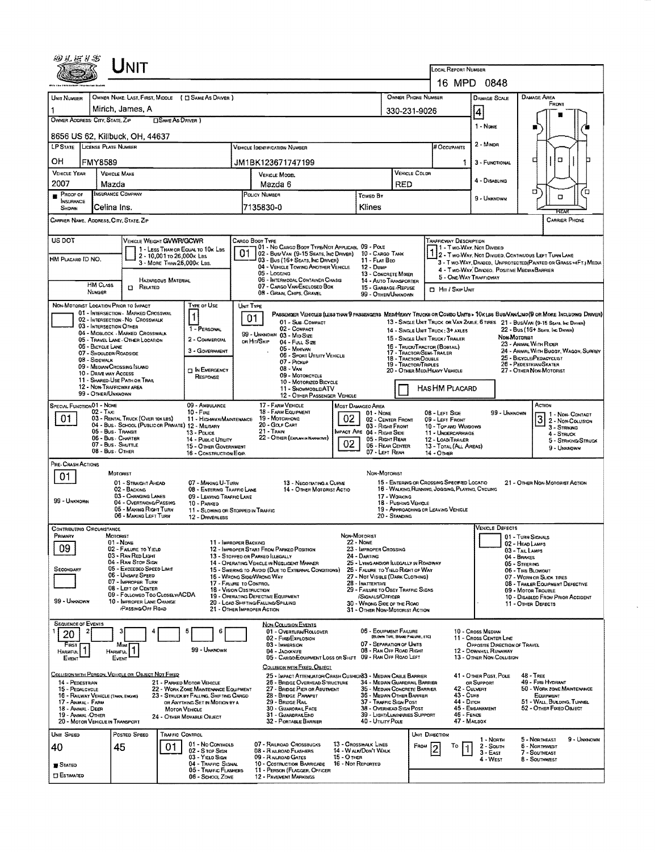| LINIT                                                                                                                                                                                                                                                                         |                                                                                                                                                           |                                                                                            |                                                                                             |                                                                                                                                                                                                                    |  |  |  |  |  |  |  |  |  |
|-------------------------------------------------------------------------------------------------------------------------------------------------------------------------------------------------------------------------------------------------------------------------------|-----------------------------------------------------------------------------------------------------------------------------------------------------------|--------------------------------------------------------------------------------------------|---------------------------------------------------------------------------------------------|--------------------------------------------------------------------------------------------------------------------------------------------------------------------------------------------------------------------|--|--|--|--|--|--|--|--|--|
|                                                                                                                                                                                                                                                                               |                                                                                                                                                           |                                                                                            | LOCAL REPORT NUMBER<br>16 MPD 0848                                                          |                                                                                                                                                                                                                    |  |  |  |  |  |  |  |  |  |
| OWNER NAME: LAST, FIRST, MIDDLE ( C SAME AS DRIVER )<br>UNIT NUMBER                                                                                                                                                                                                           |                                                                                                                                                           | OWNER PHONE NUMBER                                                                         | <b>DAMAGE SCALE</b>                                                                         | DAMAGE AREA                                                                                                                                                                                                        |  |  |  |  |  |  |  |  |  |
| Mirich, James, A<br>1                                                                                                                                                                                                                                                         |                                                                                                                                                           | 330-231-9026                                                                               | 4                                                                                           | <b><i><u>Еноит</u></i></b>                                                                                                                                                                                         |  |  |  |  |  |  |  |  |  |
| OWNER ADDRESS: CITY, STATE, ZiP<br>□ SAME AS DRIVER)                                                                                                                                                                                                                          |                                                                                                                                                           |                                                                                            | 1 - NONE                                                                                    |                                                                                                                                                                                                                    |  |  |  |  |  |  |  |  |  |
| 8656 US 62, Killbuck, OH, 44637                                                                                                                                                                                                                                               |                                                                                                                                                           |                                                                                            |                                                                                             |                                                                                                                                                                                                                    |  |  |  |  |  |  |  |  |  |
| <b>LP STATE LICENSE PLATE NUMBER</b>                                                                                                                                                                                                                                          | <b>VEHICLE IDENTIFICATION NUMBER</b>                                                                                                                      |                                                                                            | $2 - M$ INDR<br><b>#Occupants</b>                                                           |                                                                                                                                                                                                                    |  |  |  |  |  |  |  |  |  |
| OН<br><b>FMY8589</b><br>VEHICLE YEAR<br><b>VEHICLE MAKE</b>                                                                                                                                                                                                                   | JM1BK123671747199                                                                                                                                         | VEHICLE COLDR                                                                              | 3 - FUNCTIONAL                                                                              | □<br>п                                                                                                                                                                                                             |  |  |  |  |  |  |  |  |  |
| 2007<br>Mazda                                                                                                                                                                                                                                                                 | <b>VEHICLE MODEL</b><br>Mazda 6                                                                                                                           | RED                                                                                        | 4 - DISABLING                                                                               |                                                                                                                                                                                                                    |  |  |  |  |  |  |  |  |  |
| INSURANCE COMPANY<br>PROOF OF<br><b>INSURANCE</b>                                                                                                                                                                                                                             | POLICY NUMBER                                                                                                                                             | <b>TOWED BY</b>                                                                            | 9 - Unknown                                                                                 | o<br>о                                                                                                                                                                                                             |  |  |  |  |  |  |  |  |  |
| Celina Ins.<br>SHDWN<br>CARRIER NAME, ADDRESS, CITY, STATE, ZIP                                                                                                                                                                                                               | 7135830-0                                                                                                                                                 | Klines                                                                                     |                                                                                             | <b>CARRIER PHONE</b>                                                                                                                                                                                               |  |  |  |  |  |  |  |  |  |
|                                                                                                                                                                                                                                                                               |                                                                                                                                                           |                                                                                            |                                                                                             |                                                                                                                                                                                                                    |  |  |  |  |  |  |  |  |  |
| US DOT<br><b>VEHICLE WEIGHT GVWR/GCWR</b><br>CARGO BOOY TYPE<br>TRAFFICWAY DESCRIPTION<br>101 - No Cargo Booy Type/Not Applicasl 09 - Pole<br>1 - Two-Way, Not Divideo<br>1 - LESS THAN OR EQUAL TO 10K LBS<br>01<br>02 - Bus/Van (9-15 Seats, Inc Driver)<br>10 - CARGO TANK |                                                                                                                                                           |                                                                                            |                                                                                             |                                                                                                                                                                                                                    |  |  |  |  |  |  |  |  |  |
| 2 - Two-Way, Not Divided, Continuous Left Turn Lane<br>2 - 10,001 to 26,000x Las<br>HM PLACARD ID NO.<br>03 - Bus (16+ SEATS, INC DRIVER)<br>11 - FLAT BEO<br>3 - T WO-WAY, DIVIDED, UNPROTECTED (PAINTED OR GRASS >4FT.) MEDIA<br>3 - MORE THAN 25,000K LBS.                 |                                                                                                                                                           |                                                                                            |                                                                                             |                                                                                                                                                                                                                    |  |  |  |  |  |  |  |  |  |
| HAZARDOUS MATERIAL                                                                                                                                                                                                                                                            | 04 - VEHICLE TOWING ANOTHER VEHICLE<br>05 - Logging<br>06 - INTERMODAL CONTAINER CHASIS                                                                   | 12 - Duse<br>13 - CONCRETE MIXER<br>14 - AUTO TRANSPORTER                                  | 4 - Two-Way, Divideo. Positive Median Barrier<br>5 - ONE-WAY TRAFFICWAY                     |                                                                                                                                                                                                                    |  |  |  |  |  |  |  |  |  |
| <b>HM CLASS</b><br>$n$ Related<br>NUMBER                                                                                                                                                                                                                                      | 07 - CARGO VAN/ENCLOSED BOX<br>08 - GRAIN, CHIPS, GRAVEL                                                                                                  | 15 - GARBAGE / REFUSE<br>99 - OTHER/UNKNOWN                                                | <b>D</b> Hn / Skip UNIT                                                                     |                                                                                                                                                                                                                    |  |  |  |  |  |  |  |  |  |
| NON-MOTORIST LOCATION PRIOR TO IMPACT<br>TYPE OF USE                                                                                                                                                                                                                          | UNIT TYPE                                                                                                                                                 |                                                                                            |                                                                                             |                                                                                                                                                                                                                    |  |  |  |  |  |  |  |  |  |
| 01 - INTERSECTION - MARKED CROSSWAL<br>02 - INTERSECTION - NO CROSSWALK<br>03 - INTERSECTION OTHER                                                                                                                                                                            | 01<br>01 - Sub-COMPACT<br>02 - COMPACT                                                                                                                    |                                                                                            |                                                                                             | PASSENGER VEHICLES (LESS THAN 9 PASSENGERS MEDIMEANY TRUCKS OR COMBO UNITS > 10KLBS BUS/VANILIMO(9 OR MORE INCLUDING DRIVER)<br>13 - SINGLE UNIT TRUCK OR VAN ZAXLE, 6 TIRES 21 - BUS/VAN (9-15 SEATS, INC DRIVER) |  |  |  |  |  |  |  |  |  |
| 1 - PERSONAL<br>04 - MIDBLOCK - MARKED CROSSWALK<br>2 - COMMERCIAL<br>05 - TRAVEL LANE - OTHER LOCATION                                                                                                                                                                       | 14 - SINGLE UNIT TRUCK: 3+ AXLES<br>15 - SINGLE UNIT TRUCK / TRAILER                                                                                      | 22 - BUS (16+ SEATS, INC DRIVER)<br>NON-MOTORIST                                           |                                                                                             |                                                                                                                                                                                                                    |  |  |  |  |  |  |  |  |  |
| 06 - BICYCLE LANE<br>3 - GOVERNMENT<br>07 - ShouLDER/ROADSIDE                                                                                                                                                                                                                 | OR HIT/SKIP<br>04 - Futt Size<br>05 - Minovan<br>06 - SPORT UTILITY VEHICLE                                                                               | 16 - TRUCK/TRACTOR (BOBTAIL)<br>17 - TRACTOR/SEMI TRAILER<br>18 - TRACTOR/DOUBLE           | 23 - Animal With Rider<br>24 - ANIMAL WITH BUGGY, WAGON, SURREY<br>25 - BICYCLE/PEDACYCLIST |                                                                                                                                                                                                                    |  |  |  |  |  |  |  |  |  |
| 08 - Sidewalk<br>09 - MEDIAN/CROSSING ISLAND<br>IN EMERGENCY<br>10 - DRIVE WAY ACCESS                                                                                                                                                                                         | 07 - Pickup<br>08 - VAN                                                                                                                                   | 19 - Tractor/Triples<br>20 - OTHER MEDIMEAVY VEHICLE                                       |                                                                                             | 26 - Pedestrian/Skater<br>27 - Other Non-Motorist                                                                                                                                                                  |  |  |  |  |  |  |  |  |  |
| RESPONSE<br>11 - SHARED-USE PATH OR TRAIL<br>12 - NON-TRAFFICWAY AREA                                                                                                                                                                                                         | 09 - MOTORCYCLE<br>10 - Motorized Bicycle<br>11 - SNOWMOBLE/ATV                                                                                           |                                                                                            | HASHM PLACARD                                                                               |                                                                                                                                                                                                                    |  |  |  |  |  |  |  |  |  |
| 99 - OTHER/UNKNOWN<br>09 - AMBULANCE                                                                                                                                                                                                                                          | 12 - OTHER PASSENGER VEHICLE<br>17 - FARM VEHICLE                                                                                                         |                                                                                            |                                                                                             | Астюм                                                                                                                                                                                                              |  |  |  |  |  |  |  |  |  |
| <b>SPECIAL FUNCTIONO1 - NOME</b><br>02 - TAXI<br>$10 -$ FIRE<br>01<br>03 - RENTAL TRUCK (OVER 10KLBS)                                                                                                                                                                         | 18 - FARM EQUIPMENT<br>19 - Мотояноме<br>11 - HIGHWAY/MAINTENANCE                                                                                         | <b>MOST DAMAGEO AREA</b><br>01 - None<br>02<br>02 - CENTER FRONT                           | 08 - LEFT SIDE<br>09 - LEFT FRONT                                                           | 99 - UNKNOWN<br>$32 - \frac{1}{2}$                                                                                                                                                                                 |  |  |  |  |  |  |  |  |  |
| 04 - Bus - SCHOOL (PUBLIC OR PRIVATE) 12 - MILITARY<br>05 - Bus Transit<br>13 - Pouce                                                                                                                                                                                         | 20 - GOLF CART<br>$21 -$ Train                                                                                                                            | 03 - Right From<br>MPACT ARE 04 - RIGHT SIDE                                               | 10 - Top and Windows<br>11 - UNDERCARRIAGE                                                  | 3 - STRIKING<br>4 - STRUCK                                                                                                                                                                                         |  |  |  |  |  |  |  |  |  |
| 06 - Bus - CHARTER<br>14 - PUBLIC UTILITY<br>07 - Bus - Shuttle<br>08 - Bus - OTHER                                                                                                                                                                                           | 22 - OTHER (EXPLAN UN NARRATIVE)<br>15 - OTHER GOVERNMENT                                                                                                 | 05 - Right Rear<br>02<br>06 - Rear Center                                                  | 12 - LOAD/TRAILER<br>5 - STRIKING/STRUCK<br>13 - TOTAL (ALL AREAS)<br>9 - UNKNOWN           |                                                                                                                                                                                                                    |  |  |  |  |  |  |  |  |  |
| PRE- CRASH ACTIONS                                                                                                                                                                                                                                                            | 16 - CONSTRUCTION EQIP.                                                                                                                                   | 07 - LEFT REAR                                                                             | 14 - OTHER                                                                                  |                                                                                                                                                                                                                    |  |  |  |  |  |  |  |  |  |
| MOTORIST<br>01<br>01 - STRAIGHT AHEAD                                                                                                                                                                                                                                         | 07 - MAKING U-TURN<br>13 - NEGOTIATING A CURVE                                                                                                            | NON-MOTORIST                                                                               | 15 - ENTERING OR CROSSING SPECIFIED LOCATIO                                                 | 21 - OTHER NON-MOTORIST ACTION                                                                                                                                                                                     |  |  |  |  |  |  |  |  |  |
| 02 - BACKING<br>03 - CHANGING LANES                                                                                                                                                                                                                                           | 08 - ENTERING TRAFFIC LANE<br>14 - OTHER MOTORIST ACTIO<br>09 - LEAVING TRAFFIC LANE                                                                      | 17 - WORKING                                                                               | 16 - WALKING, RUNNING, JOGGING, PLAYING, CYCLING                                            |                                                                                                                                                                                                                    |  |  |  |  |  |  |  |  |  |
| 99 - UNKNOWN<br>04 - Overtaking/Passing<br>10 - PARKED<br>05 - MAKING RIGHT TURN                                                                                                                                                                                              | 11 - SLOWING OR STOPPED IN TRAFFIC                                                                                                                        | <b>18 - PUSHING VEHICLE</b><br>19 - APPROACHING OR LEAVING VEHICLE                         |                                                                                             |                                                                                                                                                                                                                    |  |  |  |  |  |  |  |  |  |
| 06 - MAKING LEFT TURN<br>12 - DRIVERLESS<br><b>CONTRIBUTING CIRCUMSTANCE</b>                                                                                                                                                                                                  |                                                                                                                                                           | 20 - STANDING                                                                              |                                                                                             | <b>VEHICLE DEFECTS</b>                                                                                                                                                                                             |  |  |  |  |  |  |  |  |  |
| Primary<br>MOTORIST<br>01 - NONE                                                                                                                                                                                                                                              | 11 - IMPROPER BACKING                                                                                                                                     | NON-MOTORIST<br>$22 - Now$                                                                 |                                                                                             | 01 - TURN SIGNALS<br>02 - HEAD LAMPS                                                                                                                                                                               |  |  |  |  |  |  |  |  |  |
| 09<br>02 - FAILURE TO YIELD<br>03 - RAN RED LIGHT                                                                                                                                                                                                                             | 12 - IMPROPER START FROM PARKEO POSITION<br>13 - Stopped or Parked Llegally                                                                               | 23 - IMPROPER CROSSING<br>24 - DARTING                                                     |                                                                                             | 03 - TAIL LAMPS<br>04 - BRAKES                                                                                                                                                                                     |  |  |  |  |  |  |  |  |  |
| 04 - RAN STOP SIGN<br>05 - Exceepeo Speep Limit<br>SECONDARY<br>06 - Unsafe Speed                                                                                                                                                                                             | 14 - OPERATING VEHICLE IN NEGLIGENT MANNER<br>15 - Swering to Avoid (Due to External Conditions)                                                          | 25 - LYING AND/OR ILLEGALLY IN ROADWAY<br>26 - FALURE TO YIELD RIGHT OF WAY                |                                                                                             | 05 - STEERING<br>06 - TIRE BLOWOUT                                                                                                                                                                                 |  |  |  |  |  |  |  |  |  |
| 07 - IMPROPER TURN<br>08 - LEFT OF CENTER                                                                                                                                                                                                                                     | 16 - WRONG SIDE/WRONG WAY<br>17 - FALURE TO CONTROL<br>18 - Vision Osstruction                                                                            | 27 - Not Visible (DARK CLOTHING)<br>28 - INATTENTIVE<br>29 - FAILURE TO OBEY TRAFFIC SIGNS |                                                                                             | 07 - WORN OR SLICK TIRES<br>08 - TRALER EQUIPMENT DEFECTIVE<br>09 - Motor Trouble                                                                                                                                  |  |  |  |  |  |  |  |  |  |
| 09 - FOLLOWEO TOO CLOSELY/ACDA<br>99 - UNKNOWN<br>10 - IMPROPER LANE CHANGE                                                                                                                                                                                                   | 19 - OPERATING DEFECTIVE EQUIPMENT<br>20 - LOAD SHIFTING/FALLING/SPILLING                                                                                 | /SIGNALS/OFFICER<br>30 - WRONG SIDE OF THE ROAD                                            |                                                                                             | 10 - DISABLEO FROM PRIOR ACCIDENT<br>11 - OTHER DEFECTS                                                                                                                                                            |  |  |  |  |  |  |  |  |  |
| <b>/Passing/Off ROAD</b>                                                                                                                                                                                                                                                      | 21 - OTHER IMPROPER ACTION                                                                                                                                | 31 - OTHER NON-MOTORIST ACTION                                                             |                                                                                             |                                                                                                                                                                                                                    |  |  |  |  |  |  |  |  |  |
| <b>SEQUENCE OF EVENTS</b><br>5<br>2<br>20                                                                                                                                                                                                                                     | <b>NON-COLLISION EVENTS</b><br>01 - Overturw/Rollover<br>6                                                                                                | 06 - EQUIPMENT FAILURE<br>(BLOWN TIRE, BRAKE FAILURE, ETC)                                 | 10 - Cross Median                                                                           |                                                                                                                                                                                                                    |  |  |  |  |  |  |  |  |  |
| FIRST<br>Most<br>99 - UNKNOWN<br><b>HARMFUL</b><br><b>HARMFUL</b>                                                                                                                                                                                                             | 02 - FIRE/EXPLOSION<br>03 - IMMERSION<br>04 - JACKKNIFE                                                                                                   | 07 - SEPARATION OF UNITS<br>08 - RAN OFF ROAD RIGHT                                        | 11 - Cross CENTER LINE<br>12 - DOWNHILL RUNAWAY                                             | OPPOSITE DIRECTION OF TRAVEL                                                                                                                                                                                       |  |  |  |  |  |  |  |  |  |
| Event<br>EVENT                                                                                                                                                                                                                                                                | 05 - CARGO/EOUIPMENT LOSS OR SHIFT 09 - RAN OFF ROAD LEFT<br>COLLISION WITH FIXED, OBJECT                                                                 |                                                                                            | 13 - OTHER NON-COLLISION                                                                    |                                                                                                                                                                                                                    |  |  |  |  |  |  |  |  |  |
| COLLISION WITH PERSON, VEHICLE OR OBJECT NOT FIXED<br>14 - PEDESTRIAN<br>21 - PARKED MOTOR VEHICLE                                                                                                                                                                            | 25 - JAPACT ATTENUATOR/CRASH CUSHION33 - MEDIAN CABLE BARRIER<br>26 - BRIDGE OVERHEAD STRUCTURE                                                           | 34 - MEDIAN GUARDRAIL BARRIER                                                              | 41 - OTHER Past, POLE<br>OR SUPPORT                                                         | 48 - TREE<br>49 - FIRE HYDRANT                                                                                                                                                                                     |  |  |  |  |  |  |  |  |  |
| 15 - PEDALCYCLE<br>22 - WORK ZONE MAINTENANCE EQUIPMENT<br>16 - RAILWAY VEHICLE (TRAN, ENGINE)<br>23 - STRUCK BY FALLING, SHIFTING CARGO                                                                                                                                      | 27 - BRIDGE PIER OR ABUTMENT<br>28 - BRIDGE PARAPET                                                                                                       | 35 - MEDIAN CONCRETE BARRIER<br>36 - MEDIAN OTHER BARRIER                                  | 42 - Culvert<br>43 - Curs                                                                   | 50 - WORK ZONE MAINTENANCE<br>EQUIPMENT                                                                                                                                                                            |  |  |  |  |  |  |  |  |  |
| 17 - Animal - Farim<br>OR ANYTHING SET IN MOTION BY A<br>18 - ANIMAL - DEER<br>MOTOR VEHICLE                                                                                                                                                                                  | 29 - BRIDGE RAIL<br>30 - GUARDRAIL FACE                                                                                                                   | 37 - Traffic Sign Post<br>38 - Overhead Sign Post                                          | 44 - Олсн<br>45 - EMBANKMENT                                                                | 51 - WALL, BUEDING, TUNNEL<br>52 - Other Fixed Osvect                                                                                                                                                              |  |  |  |  |  |  |  |  |  |
| 19 - ANIMAL - OTHER<br>24 - OTHER MOVABLE OBJECT<br>20 - MOTOR VEHICLE IN TRANSPORT                                                                                                                                                                                           | 31 - GUARDRAILEND<br>32 - PORTABLE BARRIER                                                                                                                | 39 - LIGHT/LUMINARIES SUPPORT<br>40 - UTILITY POLE                                         | 46 - FENCE<br>47 - MAILBOX                                                                  |                                                                                                                                                                                                                    |  |  |  |  |  |  |  |  |  |
| UNIT SPEED<br>Posted Speed<br>TRAFFIC CONTROL                                                                                                                                                                                                                                 | 07 - RAILROAD CROSSBUCKS<br>01 - No Controls                                                                                                              | <b>13 - CROSSWALK LINES</b>                                                                | UNIT DIRECTION<br>1 - Nonth                                                                 | 5 - NORTHEAST<br>9 - Unknown                                                                                                                                                                                       |  |  |  |  |  |  |  |  |  |
| 45<br>01<br>40<br>02 - S TOP SIGN<br>03 - YIELD SIGN                                                                                                                                                                                                                          | 08 - RAILROAD FLASHERS<br>09 - RALROAD GATES                                                                                                              | FROM<br>14 - W ALK/DON'T WALK<br>$15 - O$ THER                                             | То<br>2 - South<br>$3 - East$<br>4 - West                                                   | <b>6 - NORTHWEST</b><br>7 - SOUTHEAST<br><b>B-SOUTHWEST</b>                                                                                                                                                        |  |  |  |  |  |  |  |  |  |
| <b>STATED</b><br><b>ESTIMATED</b>                                                                                                                                                                                                                                             | 04 - Traffic Signal<br>10 - COSTRUCTION BARRICADE<br>05 - Traffic Flashers<br>11 - PERSON (FLAGGER, OFFICER<br>06 - SCHOOL ZONE<br>12 - PAVEMENT MARKINGS | 16 - Not Reported                                                                          |                                                                                             |                                                                                                                                                                                                                    |  |  |  |  |  |  |  |  |  |
|                                                                                                                                                                                                                                                                               |                                                                                                                                                           |                                                                                            |                                                                                             |                                                                                                                                                                                                                    |  |  |  |  |  |  |  |  |  |

 $\Delta \sim 1$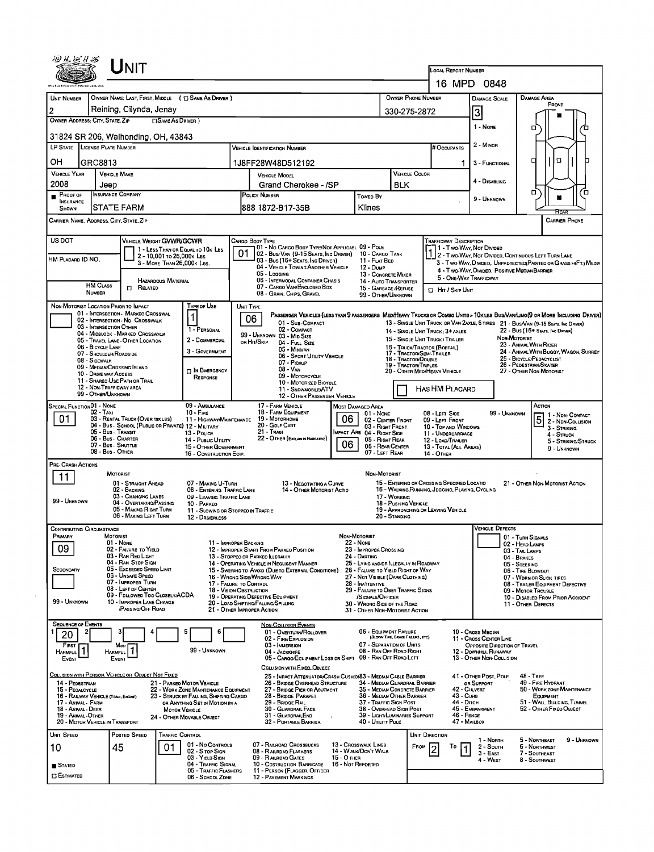|                                         |                                                | Unit                                                                                    |                            |                                                                                |                         |                                                                                                                               |                                                                                                                                                                                 |                                                                             |                                  |                                                                       |                                                                                                                                             |                                                                                                     |                                                              |                                                       |                     |  |  |
|-----------------------------------------|------------------------------------------------|-----------------------------------------------------------------------------------------|----------------------------|--------------------------------------------------------------------------------|-------------------------|-------------------------------------------------------------------------------------------------------------------------------|---------------------------------------------------------------------------------------------------------------------------------------------------------------------------------|-----------------------------------------------------------------------------|----------------------------------|-----------------------------------------------------------------------|---------------------------------------------------------------------------------------------------------------------------------------------|-----------------------------------------------------------------------------------------------------|--------------------------------------------------------------|-------------------------------------------------------|---------------------|--|--|
|                                         |                                                |                                                                                         |                            |                                                                                |                         |                                                                                                                               |                                                                                                                                                                                 |                                                                             |                                  | LOCAL REPORT NUMBER                                                   |                                                                                                                                             | 16 MPD 0848                                                                                         |                                                              |                                                       |                     |  |  |
| UNIT NUMBER                             |                                                |                                                                                         |                            | OWNER NAME: LAST, FIRST, MIDDLE ( C SAME AS DRIVER )                           |                         |                                                                                                                               |                                                                                                                                                                                 |                                                                             | OWNER PHONE NUMBER               |                                                                       |                                                                                                                                             |                                                                                                     | DAMAGE AREA                                                  |                                                       |                     |  |  |
| $\overline{2}$                          |                                                | Reining, Cilynda, Jenay                                                                 |                            |                                                                                |                         |                                                                                                                               |                                                                                                                                                                                 |                                                                             | 330-275-2872                     |                                                                       |                                                                                                                                             | DAMAGE SCALE                                                                                        |                                                              | FRONT                                                 |                     |  |  |
| OWNER ADDRESS: CITY, STATE, ZIP         |                                                |                                                                                         | <b>CISAME AS DRIVER</b> )  |                                                                                |                         |                                                                                                                               |                                                                                                                                                                                 |                                                                             |                                  |                                                                       |                                                                                                                                             | 3                                                                                                   |                                                              |                                                       |                     |  |  |
|                                         |                                                | 31824 SR 206, Walhonding, OH, 43843                                                     |                            |                                                                                |                         |                                                                                                                               |                                                                                                                                                                                 |                                                                             |                                  |                                                                       |                                                                                                                                             | 1 - NONE                                                                                            | 0                                                            |                                                       |                     |  |  |
| LP STATE LICENSE PLATE NUMBER           |                                                |                                                                                         |                            |                                                                                |                         | <b>VEHICLE IDENTIFICATION NUMBER</b>                                                                                          |                                                                                                                                                                                 |                                                                             |                                  | <b>H</b> Occupants                                                    |                                                                                                                                             | 2 - MINOR                                                                                           |                                                              |                                                       |                     |  |  |
| он                                      | GRC8813                                        |                                                                                         |                            |                                                                                |                         | 1J8FF28W48D512192                                                                                                             |                                                                                                                                                                                 |                                                                             |                                  |                                                                       |                                                                                                                                             | 3 - FUNCTIONAL                                                                                      |                                                              | O                                                     |                     |  |  |
| <b>VEHICLE YEAR</b>                     |                                                | <b>VEHICLE MAKE</b>                                                                     |                            |                                                                                |                         | <b>VEHICLE MODEL</b>                                                                                                          |                                                                                                                                                                                 |                                                                             | <b>VEHICLE COLOR</b>             |                                                                       |                                                                                                                                             | 4 - Disabling                                                                                       |                                                              |                                                       |                     |  |  |
| 2008<br>$P_{\text{ROOF OF}}$            | Jeep                                           | INSURANCE COMPANY                                                                       |                            |                                                                                |                         | Grand Cherokee - /SP<br>POLICY NUMBER                                                                                         | Toweo By                                                                                                                                                                        | <b>BLK</b>                                                                  |                                  |                                                                       |                                                                                                                                             | α                                                                                                   |                                                              | Έ                                                     |                     |  |  |
| <b>INSURANCE</b><br>SHOWN               |                                                | STATE FARM                                                                              |                            |                                                                                |                         | l888 1872-B17-35B                                                                                                             |                                                                                                                                                                                 | Klines                                                                      |                                  |                                                                       |                                                                                                                                             | 9 - UNKNOWN                                                                                         |                                                              |                                                       |                     |  |  |
| CARRIER NAME, ADORESS, CITY, STATE, ZIP |                                                |                                                                                         |                            |                                                                                |                         |                                                                                                                               |                                                                                                                                                                                 |                                                                             |                                  |                                                                       |                                                                                                                                             |                                                                                                     |                                                              | <b>CARRIER PHONE</b>                                  |                     |  |  |
| <b>US DOT</b>                           |                                                | VEHICLE WEIGHT GVWR/GCWR                                                                |                            |                                                                                |                         | Cargo Body Type                                                                                                               |                                                                                                                                                                                 |                                                                             |                                  | <b>TRAFFICWAY DESCRIPTION</b>                                         |                                                                                                                                             |                                                                                                     |                                                              |                                                       |                     |  |  |
| HM PLACARD ID NO.                       |                                                |                                                                                         | 2 - 10,001 To 26,000x LBS  | 1 - LESS THAN OR EQUAL TO 10K LBS                                              | 01                      | 01 - No CARGO BODY TYPE/NOT APPLICABL 09 - POLE<br>02 - Bus/VAN (9-15 SEATS, INC DRIVER) 10 - CARGO TANK                      |                                                                                                                                                                                 |                                                                             |                                  |                                                                       |                                                                                                                                             | AND THE MOVEMENT ON THE TWO-WAY, NOT DIVIDED<br>2 - Two-Way, Not Divided, Continuous Left Turn Lane |                                                              |                                                       |                     |  |  |
|                                         |                                                |                                                                                         | 3 - MORE THAN 26,000K LBS. |                                                                                |                         | 03 - Bus (16+ Seats, Inc Driver)<br>04 - VEHICLE TOWING ANOTHER VEHICLE<br>05 - Logging                                       |                                                                                                                                                                                 | 11 - FLAT BED<br>12 - Duwe                                                  |                                  |                                                                       | 3 - Two-WAY, DIVIDED, UNPRDTECTED (PAINTED OR GRASS >4FT.) MEDIA<br>4 - Two-Way, Divided, Positive Median Barrier<br>5 - ONE-WAY TRAFFICWAY |                                                                                                     |                                                              |                                                       |                     |  |  |
|                                         | <b>HM CLASS</b>                                |                                                                                         | <b>HAZARDOUS MATERIAL</b>  |                                                                                |                         | 06 - INTERMODAL CONTAINER CHASIS<br>07 - CARGO VAN ENGLOSED BOX                                                               |                                                                                                                                                                                 | 13 - CONCRETE MIXER<br>14 - AUTO TRANSPORTER                                |                                  |                                                                       |                                                                                                                                             |                                                                                                     |                                                              |                                                       |                     |  |  |
|                                         | <b>NUMBER</b>                                  | <b>D</b> RELATED                                                                        |                            |                                                                                |                         | 08 - GRAIN, CHIPS, GRAVEL                                                                                                     |                                                                                                                                                                                 | 15 - GARBAGE / REFUSE<br>99 - OTHER/UNKNOWN                                 |                                  | Hit / Skip Unit                                                       |                                                                                                                                             |                                                                                                     |                                                              |                                                       |                     |  |  |
|                                         |                                                | NON-MOTORIST LOCATION PRIOR TO IMPACT<br>01 - INTERSECTION - MARKEO CROSSWAL            |                            | TYPE OF USE<br>$\mathbf{1}$                                                    | UNIT TYPE               | PASSENGER VEHICLES (LESS THAN 9 PASSENGERS MEDIHEAVY TRUCKS OR COMBO UNITS > 10K LBS BUS/VAN/LIMO(9 OR MORE INCLUDING DRIVER) |                                                                                                                                                                                 |                                                                             |                                  |                                                                       |                                                                                                                                             |                                                                                                     |                                                              |                                                       |                     |  |  |
|                                         | 03 - INTERSECTION OTHER                        | 02 - INTERSECTION - NO CROSSWALK                                                        |                            | 1 - PERSONAL                                                                   | 06                      | 01 - Sua COMPACT<br>02 - COMPACT                                                                                              |                                                                                                                                                                                 |                                                                             |                                  |                                                                       |                                                                                                                                             | 13 - SINGLE UNIT TRUCK DR VAN 2AXLE, 6 TIRES 21 - BUS/VAN (9-15 SEATS, INC DRIVER)                  |                                                              |                                                       |                     |  |  |
|                                         |                                                | 04 - MIDBLOCK - MARKED CROSSWALK<br>05 - TRAVEL LANE - OTHER LOCATION                   |                            | 2 - COMMERCIAL                                                                 |                         | 99 - UNKNOWN 03 - MID SIZE<br>OR HIT/SKIP<br>04 - Full Size                                                                   |                                                                                                                                                                                 |                                                                             |                                  | 14 - SINGLE UNIT TRUCK : 3+ AXLES<br>15 - SINGLE UNIT TRUCK / TRAILER |                                                                                                                                             | NON-MOTORIST                                                                                        | 22 - Bus (16+ Seats, Inc Driver)                             |                                                       |                     |  |  |
|                                         | 06 - BICYCLE LANE<br>07 - SHOULDER/ROADSIDE    |                                                                                         |                            | 3 - GOVERNMENT                                                                 |                         | 05 - MINIVAN<br>06 - SPORT UTILITY VEHICLE                                                                                    | 23 - ANIMAL WITH RIDER<br>16 - TRUCK/TRACTOR (BOBTAIL)<br>24 - ANIMAL WITH BUGGY, WAGON, SURREY<br>17 - TRACTOR/SEMI-TRAILER<br>25 - BICYCLE/PEDACYCLIST<br>18 - Tractor/Double |                                                                             |                                  |                                                                       |                                                                                                                                             |                                                                                                     |                                                              |                                                       |                     |  |  |
|                                         | 08 - Sidewalk<br>09 - MEDIAN CROSSING ISLAND   |                                                                                         |                            | IN EMERGENCY                                                                   |                         | 07 - Pickup<br>08 - VAN                                                                                                       |                                                                                                                                                                                 |                                                                             | 19 - TRACTOR/TRPLES              | 20 - OTHER MED/HEAVY VEHICLE                                          |                                                                                                                                             |                                                                                                     | 26 - PEDESTRIAN/SKATER<br>27 - OTHER NON-MOTORIST            |                                                       |                     |  |  |
|                                         | 10 - DRIVE WAY ACCESS                          | 11 - SHARED USE PATH OR TRAIL                                                           |                            | RESPONSE                                                                       |                         | 09 - MOTORCYCLE<br>10 - MOTORIZED BICYCLE                                                                                     |                                                                                                                                                                                 |                                                                             |                                  |                                                                       |                                                                                                                                             |                                                                                                     |                                                              |                                                       |                     |  |  |
|                                         | 12 - NON-TRAFFICWAY AREA<br>99 - OTHER/UNKNOWN |                                                                                         |                            |                                                                                |                         | 11 - SNOWMOBILE/ATV<br>12 - OTHER PASSENGER VEHICLE                                                                           |                                                                                                                                                                                 |                                                                             |                                  | HAS HM PLACARD                                                        |                                                                                                                                             |                                                                                                     |                                                              |                                                       |                     |  |  |
| SPECIAL FUNCTION 01 - NONE              | 02 - TAX                                       |                                                                                         |                            | 09 - AMBULANCE<br>$10 -$ Fire                                                  |                         | 17 - FARM VEHICLE<br>18 - FARM EQUIPMENT                                                                                      |                                                                                                                                                                                 | <b>MOST DAMAGED AREA</b><br>01 - NONE                                       |                                  | 08 - LEFT SIDE                                                        |                                                                                                                                             | 99 UNKNOWN                                                                                          | ACTION                                                       |                                                       |                     |  |  |
| 01                                      |                                                | 03 - RENTAL TRUCK (OVER tOX LBS)<br>04 - Bus - School (Public or Private) 12 - Military |                            | 11 - HIGHWAY/MAINTENANCE                                                       |                         | 19 - Мотовноме<br>20 - GOLF CART                                                                                              | 06                                                                                                                                                                              | 02 - CENTER FRONT<br>03 - RIGHT FRONT                                       |                                  | 09 - LEFT FRONT<br>10 - Top and Windows                               |                                                                                                                                             |                                                                                                     |                                                              | 1 - NON-CONTACT<br>2 - NDN-COLLISION<br>3 - STRIKING  |                     |  |  |
|                                         | 05 - Bus. Transit<br>06 - Bus - CHARTER        |                                                                                         |                            | 13 - Pouce<br>14 - Pusuc Utrury                                                |                         | $21 -$ Traw<br>22 - OTHER (EXPLAIN IN NARRAITVE)                                                                              |                                                                                                                                                                                 | MPACT ARE 04 - RIGHT SIDE<br>05 - Right Rear                                |                                  | 11 - UNDERCARRIAGE<br>12 - LOAD/TRAILER                               |                                                                                                                                             |                                                                                                     |                                                              | 4 - STRUCK                                            | 5 - STRIKING/STRUCK |  |  |
|                                         | 07 - Bus SHUTTLE<br>08 - Bus - OTHER           |                                                                                         |                            | 15 - OTHER GOVERNMENT<br>16 - CONSTRUCTION EOIP.                               |                         |                                                                                                                               | 06                                                                                                                                                                              | 06 - REAR CENTER<br>07 - Left Rear                                          |                                  | 13 - TOTAL (ALL AREAS)<br><b>14 - OTHER</b>                           |                                                                                                                                             |                                                                                                     |                                                              | 9 - UNKNOWN                                           |                     |  |  |
| PRE-CRASH ACTIONS                       |                                                |                                                                                         |                            |                                                                                |                         |                                                                                                                               |                                                                                                                                                                                 |                                                                             |                                  |                                                                       |                                                                                                                                             |                                                                                                     |                                                              |                                                       |                     |  |  |
| 11                                      |                                                | <b>MOTORIST</b><br>01 - STRAIGHT AHEAD                                                  |                            | 07 - MAKING U-TURN                                                             |                         | 13 - NEGOTIATING A CURVE                                                                                                      |                                                                                                                                                                                 | Non-Motorist                                                                |                                  | 15 - ENTERING OR CROSSING SPECIFIED LOCATIO                           |                                                                                                                                             |                                                                                                     | 21 - OTHER NON-MOTORIST ACTION                               |                                                       |                     |  |  |
| 99 - UNKNOWN                            |                                                | 02 - BACKING<br>03 - CHANGING LANES                                                     |                            | 08 - ENTERING TRAFFIC LANE<br>09 - LEAVING TRAFFIC LANE                        |                         | 14 - OTHER MOTORIST ACTIO                                                                                                     |                                                                                                                                                                                 |                                                                             | 17 - WORKING                     | 16 - WALKING RUNNING, JOGGING, PLAYING, CYCLING                       |                                                                                                                                             |                                                                                                     |                                                              |                                                       |                     |  |  |
|                                         |                                                | 04 - OVERTAKING/PASSING<br>05 - MAKING RIGHT TURN<br>06 - MAKING LEFT TURN              |                            | 10 - PARKEO<br>11 - Slowing or Stopped in Traffic                              |                         |                                                                                                                               |                                                                                                                                                                                 |                                                                             | 18 - PUSHING VEHICLE             | 19 - APPROACHING OR LEAVING VEHICLE                                   |                                                                                                                                             |                                                                                                     |                                                              |                                                       |                     |  |  |
| <b>CONTRIBUTING CIRCUMSTANCE</b>        |                                                |                                                                                         |                            | 12 - DRIVERLESS                                                                |                         |                                                                                                                               |                                                                                                                                                                                 |                                                                             | 20 - Standing                    |                                                                       |                                                                                                                                             | <b>VEHICLE DEFECTS</b>                                                                              |                                                              |                                                       |                     |  |  |
| PRIMARY                                 | MOTORIST                                       | $01 - None$                                                                             |                            |                                                                                | 11 - IMPROPER BACKING   |                                                                                                                               | Non-Motorist                                                                                                                                                                    | 22 - NONE                                                                   |                                  |                                                                       |                                                                                                                                             |                                                                                                     | 01 - TURN SIGNALS<br>02 - HEAD LAMPS                         |                                                       |                     |  |  |
| 09                                      |                                                | 02 - FAILURE TO YIELD<br>03 - RAN RED LIGHT                                             |                            |                                                                                |                         | 12 - IMPROPER START FROM PARKED PDSITION<br>13 - STOPPEO OR PARKEO ILLEGALLY                                                  |                                                                                                                                                                                 | 23 - IMPROPER CROSSING<br>24 - DARTING                                      |                                  |                                                                       |                                                                                                                                             |                                                                                                     | 03 - TAIL LAMPS<br>04 - BRAKES                               |                                                       |                     |  |  |
| SECONDARY                               |                                                | 04 - RAN STOP SIGN<br>05 - Exceeped Speed Limit                                         |                            |                                                                                |                         | 14 - OPERATING VEHICLE IN NEGLIGENT MANNER<br>15 - Swering to Avoid (Due to External Conditions)                              |                                                                                                                                                                                 | 25 - LYING AND/OR ILLEGALLY IN ROADWAY<br>26 - FALURE TO YIELD RIGHT OF WAY |                                  |                                                                       |                                                                                                                                             |                                                                                                     | 05 - STEERING<br>06 - TIRE BLOWOUT                           |                                                       |                     |  |  |
|                                         |                                                | 06 - UNSAFE SPEED<br>07 - IMPROPER TURN                                                 |                            |                                                                                | 17 - FALURE TO CONTROL  | 16 - WRONG SIDE/WRONG WAY                                                                                                     |                                                                                                                                                                                 | 27 - NOT VISIBLE (DARK CLOTHING)<br>28 - INATTENTIVE                        |                                  |                                                                       |                                                                                                                                             |                                                                                                     | 07 - WORN OR SLICK TIRES<br>08 - TRAILER EQUIPMENT DEFECTIVE |                                                       |                     |  |  |
|                                         |                                                | 08 - LEFT OF CENTER<br>09 - FOLLOWED TOO CLOSELY/ACDA                                   |                            |                                                                                | 18 - VISION OBSTRUCTION | 19 - OPERATING DEFECTIVE EQUIPMENT                                                                                            |                                                                                                                                                                                 | 29 - FAILURE TO OBEY TRAFFIC SIGNS<br>/SIGNALS/OFFICER                      |                                  |                                                                       |                                                                                                                                             |                                                                                                     | 09 - MOTOR TROUBLE<br>10 - DISABLED FROM PRIOR ACCIDENT      |                                                       |                     |  |  |
| 99 - UNKNOWN                            |                                                | 10 - IMPROPER LANE CHANGE<br><b><i>PASSING/OFF ROAD</i></b>                             |                            |                                                                                |                         | 20 - LOAD SHIFTING/FALLING/SPILLING<br>21 - OTHER IMPROPER ACTION                                                             |                                                                                                                                                                                 | 30 - WRONG SIDE OF THE ROAD<br>31 - OTHER NON-MOTORIST ACTION               |                                  |                                                                       |                                                                                                                                             |                                                                                                     | 11 - OTHER DEFECTS                                           |                                                       |                     |  |  |
| <b>SEQUENCE OF EVENTS</b>               |                                                |                                                                                         |                            |                                                                                |                         | <b>NON-COLLISION EVENTS</b>                                                                                                   |                                                                                                                                                                                 |                                                                             |                                  |                                                                       |                                                                                                                                             |                                                                                                     |                                                              |                                                       |                     |  |  |
| 20                                      | 2                                              |                                                                                         |                            | 5<br>6                                                                         |                         | 01 - Overturw/Rollover<br>02 - FIRE/EXPLOSION                                                                                 |                                                                                                                                                                                 | 06 - EQUIPMENT FAILURE                                                      | (BLOWN TIRE, BRAKE FAILURE, ETC) |                                                                       |                                                                                                                                             | 10 - CROSS MEDIAN<br>11 - CROSS CENTER LINE                                                         |                                                              |                                                       |                     |  |  |
| FIRST<br><b>HARMFUL</b>                 |                                                | Mosi  <br>HARMFUL <sup>1</sup>                                                          |                            | 99 - UNKNOWN                                                                   |                         | 03 - IMMERSION<br>04 - JACKKNIFE<br>05 - CARGO/EQUIPMENT LOSS OR SHIFT 09 - RAN OFF ROAD LEFT                                 |                                                                                                                                                                                 | 07 - Separation of Units<br>08 - RAN OFF ROAD RIGHT                         |                                  |                                                                       |                                                                                                                                             | OPPOSITE DIRECTION OF TRAVEL<br>12 - DOWNHILL RUNAWAY<br>13 - OTHER NON-COLLISION                   |                                                              |                                                       |                     |  |  |
| EVENT                                   |                                                | EVENT                                                                                   |                            |                                                                                |                         | COLLISION WITH EIXED. OBJECT                                                                                                  |                                                                                                                                                                                 |                                                                             |                                  |                                                                       |                                                                                                                                             |                                                                                                     |                                                              |                                                       |                     |  |  |
| 14 - PEDESTRIAN                         |                                                | COLLISION WITH PERSON, VEHICLE OR OBJECT NOT FIXED                                      |                            | 21 - PARKEO MOTOR VEHICLE                                                      |                         | 25 - IMPACT ATTENUATOR/CRASH CUSHION 83 - MEDIAN CABLE BARRIER<br>26 - BRIDGE OVERHEAD STRUCTURE                              |                                                                                                                                                                                 | 34 - MEDIAN GUARDRAIL BARRIER                                               |                                  |                                                                       |                                                                                                                                             | 41 - OTHER POST, POLE<br>OR SUPPORT                                                                 | <b>48 - TREE</b><br>49 - FIRE HYDRANT                        |                                                       |                     |  |  |
| 15 - PEDALCYCLE                         | 16 - RAILWAY VEHICLE (TRAN, ENGINE)            |                                                                                         |                            | 22 - WORK ZONE MAINTENANCE EQUIPMENT<br>23 - STRUCK BY FALLING, SHIFTING CARGO |                         | 27 - BRIDGE PIER OR ABUTMENT<br>28 - Broge Parapet                                                                            |                                                                                                                                                                                 | 35 - MEDIAN CONCRETE BARRIER<br>36 - MEDIAN OTHER BARRIER                   |                                  |                                                                       | 42 - CULVERT<br>43 - Cura                                                                                                                   |                                                                                                     |                                                              | 50 - WORK ZONE MAINTENANCE<br>EQUIPMENT               |                     |  |  |
| 17 - ANMAL - FARM<br>18 - Animal - Deer |                                                |                                                                                         | MOTOR VEHICLE              | OR ANYTHING SET IN MOTION BY A                                                 |                         | 29 - BRIDGE RAIL<br><b>30 - GUARDRAIL FACE</b>                                                                                |                                                                                                                                                                                 | 37 - TRAFFIC SIGN POST<br>38 - Overhead Sign Post                           |                                  |                                                                       | 44 - Опсн                                                                                                                                   | 45 - EMBANKMENT                                                                                     |                                                              | 51 - WALL, BULDING, TUNNEL<br>52 - OTHER FIXEO OBJECT |                     |  |  |
| 19 - ANIMAL OTHER                       | 20 - MOTOR VEHICLE IN TRANSPORT                |                                                                                         |                            | 24 - OTHER MOVABLE OBJECT                                                      |                         | 31 - GUARORAILEND<br>32 - PORTABLE BARRIER                                                                                    |                                                                                                                                                                                 | 39 - LIGHT/LUMINARIES SUPPORT<br>40 - UTILITY POLE                          |                                  |                                                                       | 46 - FENCE<br>47 - MAILBOX                                                                                                                  |                                                                                                     |                                                              |                                                       |                     |  |  |
| UNIT SPEED                              |                                                | Posteo Speed                                                                            | <b>TRAFFIC CONTROL</b>     |                                                                                |                         |                                                                                                                               |                                                                                                                                                                                 |                                                                             |                                  | UNIT DIRECTION                                                        |                                                                                                                                             | 1 - North                                                                                           | 5 - NORTHEAST                                                |                                                       | 9 - UNKNOWN         |  |  |
| 10                                      |                                                | 45                                                                                      | 01                         | 01 - No CONTROLS<br>02 - S TOP SIGN<br>03 - YIELD SIGN                         |                         | 07 - RAILROAD CROSSBUCKS<br>08 - RAILRDAD FLASHERS<br>09 - RAILRDAD GATES                                                     | 15 - О тнев                                                                                                                                                                     | 13 - CROSSWALK LINES<br>14 - WALK/DON'T WALK                                |                                  | FROM<br>То                                                            |                                                                                                                                             | 2 - South<br>$3 - East$                                                                             | 6 - NORTHWEST<br>7 - SOUTHEAST                               |                                                       |                     |  |  |
| STATED                                  |                                                |                                                                                         |                            | 04 - TRAFFIC SIGNAL<br>05 - TRAFFIC FLASHERS                                   |                         | 10 - COSTRUCTION BARRICADE<br>11 - PERSON (FLAGGER, OFFICER                                                                   | 16 - Not Reported                                                                                                                                                               |                                                                             |                                  |                                                                       |                                                                                                                                             | 4 - WEST                                                                                            | 8 - Southwest                                                |                                                       |                     |  |  |
| <b>ESTIMATED</b>                        |                                                |                                                                                         |                            | 06 - SCHOOL ZDNE                                                               |                         | <b>12 - PAVEMENT MARKINGS</b>                                                                                                 |                                                                                                                                                                                 |                                                                             |                                  |                                                                       |                                                                                                                                             |                                                                                                     |                                                              |                                                       |                     |  |  |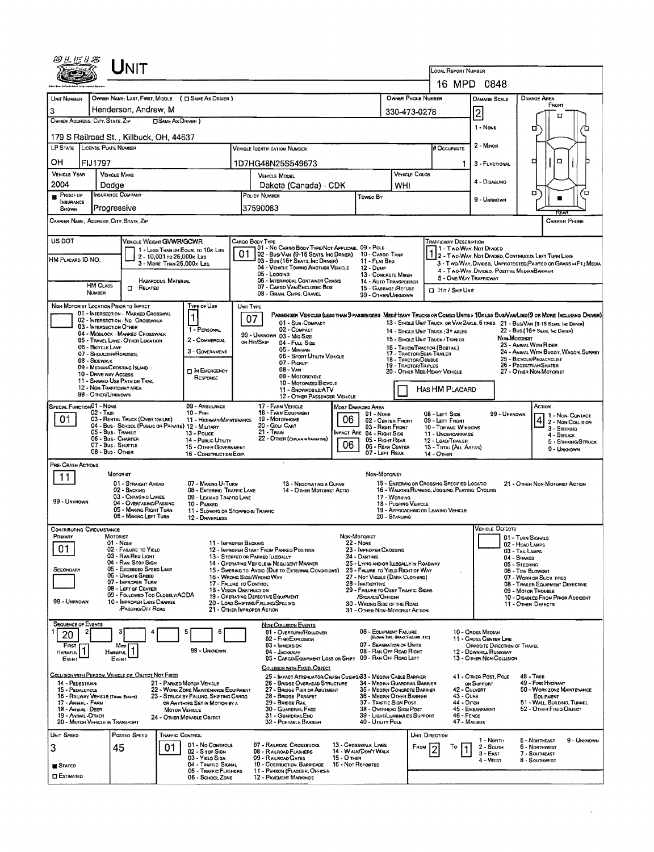| Unit<br>LOCAL REPORT NUMBER<br>16 MPD 0848<br>OWNER NAME: LAST, FIRST, MIDDLE ( C SAME AS DRIVER )<br>OWNER PHONE NUMBER<br>DAMAGE AREA<br>UNIT NUMBER<br><b>DAMAGE SCALE</b><br>FRONT<br>Henderson, Andrew, M<br>3<br>$\overline{\mathbf{c}}$<br>330-473-0278<br><b>OWNER ADDRESS: CITY, STATE, ZIP</b><br><b>CISAME AS DRIVER</b> )<br>1 - NONE<br>о<br>179 S Railroad St., Killbuck, OH, 44637<br>2 - Minon<br>LP STATE LICENSE PLATE NUMBER<br><b># OCCUPANTS</b><br><b>VEHICLE IDENTIFICATION NUMBER</b><br>۵<br>□<br>OН<br><b>FIJ1797</b><br>1D7HG48N25S549673<br>3 - FUNCTIONAL<br>1.<br><b>VEHICLE YEAR</b><br><b>VEHICLE COLOR</b><br><b>VEHICLE MAKE</b><br><b>VEHICLE MODEL</b><br>4 - DISABLING<br>2004<br>Dakota (Canada) - CDK<br>WHI<br>Dodge<br>□<br>D<br><b>INSURANCE COMPANY</b><br>$P$ ROOF OF<br>POLICY NUMBER<br>Toweo By<br>9 - Unknown<br><b>INSURANCE</b><br>Progressive<br>37590083<br>SHOWN<br>CARRIER NAME, ADDRESS, CITY, STATE, ZIP<br><b>CARRIER PHONE</b><br>US DOT<br>VEHICLE WEIGHT GVWR/GCWR<br>CARGO BODY TYPE<br><b>TRAFFICWAY DESCRIPTION</b><br>01 - No CARGO BODY TYPE/NOT APPLICABL 09 - POLE<br>11 - Two Way, Not Divided<br>1 - LESS THAN OR EQUAL TO 10K LBS<br>1 2 - TWO-WAY, NOT DIVIDED, CONTINUOUS LEFT TURN LANE<br>02 - Bus/Van (9-15 Seats, Inc Driver)<br>10 - CARGO TANK<br>2 - 10,001 то 26,000к Las<br>HM PLACARD ID NO.<br>03 - Bus (16+ Seats, Inc DRIVER)<br>11 - FLAT BED<br>3 - MORE THAN 26,000x LBS.<br>3 - Two-Way, Divided, UNPROTECTED (PAINTEO OR GRASS >4FT.) MEDIA<br>04 - VEHICLE TOWING ANOTHER VEHICLE<br>12 - Duwe<br>4 - Two-Way, Divideo, Positive Median Barrier<br>05 - Logging<br>13 - CONCRETE MIXER<br>5 - ONE-WAY TRAFFICWAY<br>06 - INTERMODAL CONTAINER CHASIS<br>HAZAROOUS MATERIAL<br>14 - AUTO TRANSPORTER<br><b>HM CLASS</b><br>07 - CARGO VAN/ENCLOSED BOX<br><b>CT</b> RELATED<br>15 - GARBAGE /REFUSE<br><b>D</b> Hit / Skip Unit<br>NUMBER<br>08 - GRAIN, CHIPS, GRAVEL<br>99 - OTHER/UNKNOWN<br>NON-MOTORIST LOCATION PRIOR TO IMPACT<br>Type of Use<br>UNIT TYPE<br>01 - INTERSECTION - MARKED CROSSWAL<br>PASSENGER VEHICLES (LESS THAN 9 PASSENGERS MEDIMEAVY TRUCKS OR COMBO UNITS > 10KLES BUS/VAN/LIMO(9 OR MORE INCLUDING DRIVER)<br>$\mathbf 1$<br>07<br>02 - INTERSECTION - NO CROSSWALK<br>01 - Sub-COMPACT<br>13 - SINGLE UNIT TRUCK OR VAN 2AXLE, 6 THES 21 - BUS/VAN (9-15 SEATS, INC DRIVER)<br>03 - INTERSECTION OTHER<br>1 - PERSONAL<br>02 - COMPACT<br>22 - BUS (16+ Seats, Inc Driver)<br>14 - SINGLE UNIT TRUCK: 3+ AXLES<br>04 - MIDBLOCK - MARKED CROSSWALK<br>99 - UNKNOWN 03 - MID SIZE<br><b>Мон-Моторіат</b><br>15 - SINGLE UNIT TRUCK / TRAR.ER<br>05 - TRAVEL LANE - OTHER LOCATION<br>2 - COMMERCIAL<br>on Hit/Skip<br>04 - FULL SIZE<br>23 - ANIMAL WITH RIDER<br>05 - BICYCLE LANE<br>16 - TRUCK/TRACTOR (BOBTAIL)<br>05 - MINIVAN<br>3 - GOVERNMENT<br>24 - ANIMAL WITH BUGGY, WAGON, SURREY<br>17 - Tractor/Semi-Traler<br>07 - SHOULDER/ROADSIDE<br>06 - Sport UTILITY VEHICLE<br>25 - BICYCLE/PEDACYCLIST<br><b>18 - TRACTOR/DOUBLE</b><br>08 - Sidewalk<br>$07 -$ Procup<br>26 - PEOESTRIAN/SKATER<br><b>19 - TRACTOR/TRPLES</b><br>09 - MEDIAN/CROSSING ISLAND<br>$08 - V_{AN}$<br><b>IT IN EMERGENCY</b><br>20 - OTHER MEDIMEAVY VEHICLE<br>27 - OTHER NON-MOTORIST<br>10 - DRIVE WAY ACCESS<br>09 - MOTORCYCLE<br>RESPONSE<br>11 - SHARED USE PATH DR TRAIL<br>10 - MOTORIZED BICYCLE<br>12 - NON-TRAFFICWAY AREA<br>HAS HM PLACARD<br>11 - SNOWMOBILE/ATV<br>99 - OTHER/UNKNOWN<br>12 - OTHER PASSENGER VEHICLE<br><b>SPECIAL FUNCTION 01 - NONE</b><br>09 - AMBULANCE<br>17 - FARM VEHICLE<br>ACTION<br><b>MOST DAMAGED AREA</b><br><b>18 - FARM EQUIPMENT</b><br>02 - Тахі<br>$10 -$ Fire<br>08 - LEFT SIDE<br>99 - UNKNOWN<br>01 - NONE<br>1 - Non-Contact<br>01<br>03 - RENTAL TRUCK (OVER 10KLBS)<br>19 - Мотовноме<br>06<br>11 - HIGHWAY/MAINTENANCE<br>$\frac{4}{2}$ - Non-Collision<br>02 - CENTER FRONT<br>09 - LEFT FRONT<br>04 - Bus - SCHOOL (PUBLIC OR PRIVATE) 12 - MILITARY<br>20 - Golf Cart<br>03 - RIGHT FRONT<br>10 - TOP AND WINDOWS<br>3 - STRIKING<br>21 - Train<br>05 - Bus - Transit<br>IMPACT ARE 04 - RIGHT SIDE<br>13 - Pouce<br>11 - UNDERCARRIAGE<br>4 - STRUCK<br>06 - Bus - Charter<br>22 - OTHER (EXPLAN IN NARRATIVE)<br>05 - Right Rear<br>14 - Pusuc UTILITY<br>12 - LOAD/TRAILER<br>5 - Striking/Struck<br>06<br>07 - Bus - SHUTTLE<br>15 - OTHER GOVERNMENT<br>06 - Rear Center<br>13 - TOTAL (ALL AREAS)<br>9 - UNKNOWN<br>08 - Bus - OTHER<br>07 - LEFT REAR<br>16 - CONSTRUCTION EOIP.<br><b>14 - OTHER</b><br>PRE-CRASH ACTIONS<br>MOTORIST<br>NON-MOTORIST<br>11<br>01 - STRAIGHT AHEAD<br>15 - ENTERWG OR CROSSING SPECIFIED LOCATIO<br>07 - MAKING U-TURN<br>13 - NEGOTIATING A CURVE<br>21 - OTHER NON-MOTORIST ACTION<br>16 - WALKING, RUNNING, JOGGING, PLAYING, CYCLING<br>02 - BACKING<br>08 - ENTERING TRAFFIC LANE<br>14 - OTHER MOTORIST ACTIO<br>03 - CHANGING LANES<br>09 - LEAVING TRAFFIC LANE<br>17 - WORKING<br>99 - UNKNOWN<br>04 - OVERTAKING/PASSING<br>18 - Pusiano Vancue<br>10 - PARKED<br>05 - MAKING RIGHT TURN<br>19 - APPROACHING OR LEAVING VEHICLE<br>11 - SLOWING OR STOPPEO IN TRAFFIC<br>06 - MAKING LEFT TURN<br>20 - STANDING<br>12 - DRIVERLESS |
|---------------------------------------------------------------------------------------------------------------------------------------------------------------------------------------------------------------------------------------------------------------------------------------------------------------------------------------------------------------------------------------------------------------------------------------------------------------------------------------------------------------------------------------------------------------------------------------------------------------------------------------------------------------------------------------------------------------------------------------------------------------------------------------------------------------------------------------------------------------------------------------------------------------------------------------------------------------------------------------------------------------------------------------------------------------------------------------------------------------------------------------------------------------------------------------------------------------------------------------------------------------------------------------------------------------------------------------------------------------------------------------------------------------------------------------------------------------------------------------------------------------------------------------------------------------------------------------------------------------------------------------------------------------------------------------------------------------------------------------------------------------------------------------------------------------------------------------------------------------------------------------------------------------------------------------------------------------------------------------------------------------------------------------------------------------------------------------------------------------------------------------------------------------------------------------------------------------------------------------------------------------------------------------------------------------------------------------------------------------------------------------------------------------------------------------------------------------------------------------------------------------------------------------------------------------------------------------------------------------------------------------------------------------------------------------------------------------------------------------------------------------------------------------------------------------------------------------------------------------------------------------------------------------------------------------------------------------------------------------------------------------------------------------------------------------------------------------------------------------------------------------------------------------------------------------------------------------------------------------------------------------------------------------------------------------------------------------------------------------------------------------------------------------------------------------------------------------------------------------------------------------------------------------------------------------------------------------------------------------------------------------------------------------------------------------------------------------------------------------------------------------------------------------------------------------------------------------------------------------------------------------------------------------------------------------------------------------------------------------------------------------------------------------------------------------------------------------------------------------------------------------------------------------------------------------------------------------------------------------------------------------------------------------------------------------------------------------------------------------------------------------------------------------------------------------------------------------------------------------------------------------------------------------------------------------------------------------------------------------------------------------------------------------------------------------------------------------------------------------------------------------------------------------------------------------------------------------------------------------------------------------------------------------------------------------------------------------------------------------------------------------------------------------------------------------------------------------------------------------------------------------------------------------------------------------------------------------------------------------------------------------|
|                                                                                                                                                                                                                                                                                                                                                                                                                                                                                                                                                                                                                                                                                                                                                                                                                                                                                                                                                                                                                                                                                                                                                                                                                                                                                                                                                                                                                                                                                                                                                                                                                                                                                                                                                                                                                                                                                                                                                                                                                                                                                                                                                                                                                                                                                                                                                                                                                                                                                                                                                                                                                                                                                                                                                                                                                                                                                                                                                                                                                                                                                                                                                                                                                                                                                                                                                                                                                                                                                                                                                                                                                                                                                                                                                                                                                                                                                                                                                                                                                                                                                                                                                                                                                                                                                                                                                                                                                                                                                                                                                                                                                                                                                                                                                                                                                                                                                                                                                                                                                                                                                                                                                                                                                                                               |
|                                                                                                                                                                                                                                                                                                                                                                                                                                                                                                                                                                                                                                                                                                                                                                                                                                                                                                                                                                                                                                                                                                                                                                                                                                                                                                                                                                                                                                                                                                                                                                                                                                                                                                                                                                                                                                                                                                                                                                                                                                                                                                                                                                                                                                                                                                                                                                                                                                                                                                                                                                                                                                                                                                                                                                                                                                                                                                                                                                                                                                                                                                                                                                                                                                                                                                                                                                                                                                                                                                                                                                                                                                                                                                                                                                                                                                                                                                                                                                                                                                                                                                                                                                                                                                                                                                                                                                                                                                                                                                                                                                                                                                                                                                                                                                                                                                                                                                                                                                                                                                                                                                                                                                                                                                                               |
|                                                                                                                                                                                                                                                                                                                                                                                                                                                                                                                                                                                                                                                                                                                                                                                                                                                                                                                                                                                                                                                                                                                                                                                                                                                                                                                                                                                                                                                                                                                                                                                                                                                                                                                                                                                                                                                                                                                                                                                                                                                                                                                                                                                                                                                                                                                                                                                                                                                                                                                                                                                                                                                                                                                                                                                                                                                                                                                                                                                                                                                                                                                                                                                                                                                                                                                                                                                                                                                                                                                                                                                                                                                                                                                                                                                                                                                                                                                                                                                                                                                                                                                                                                                                                                                                                                                                                                                                                                                                                                                                                                                                                                                                                                                                                                                                                                                                                                                                                                                                                                                                                                                                                                                                                                                               |
|                                                                                                                                                                                                                                                                                                                                                                                                                                                                                                                                                                                                                                                                                                                                                                                                                                                                                                                                                                                                                                                                                                                                                                                                                                                                                                                                                                                                                                                                                                                                                                                                                                                                                                                                                                                                                                                                                                                                                                                                                                                                                                                                                                                                                                                                                                                                                                                                                                                                                                                                                                                                                                                                                                                                                                                                                                                                                                                                                                                                                                                                                                                                                                                                                                                                                                                                                                                                                                                                                                                                                                                                                                                                                                                                                                                                                                                                                                                                                                                                                                                                                                                                                                                                                                                                                                                                                                                                                                                                                                                                                                                                                                                                                                                                                                                                                                                                                                                                                                                                                                                                                                                                                                                                                                                               |
|                                                                                                                                                                                                                                                                                                                                                                                                                                                                                                                                                                                                                                                                                                                                                                                                                                                                                                                                                                                                                                                                                                                                                                                                                                                                                                                                                                                                                                                                                                                                                                                                                                                                                                                                                                                                                                                                                                                                                                                                                                                                                                                                                                                                                                                                                                                                                                                                                                                                                                                                                                                                                                                                                                                                                                                                                                                                                                                                                                                                                                                                                                                                                                                                                                                                                                                                                                                                                                                                                                                                                                                                                                                                                                                                                                                                                                                                                                                                                                                                                                                                                                                                                                                                                                                                                                                                                                                                                                                                                                                                                                                                                                                                                                                                                                                                                                                                                                                                                                                                                                                                                                                                                                                                                                                               |
|                                                                                                                                                                                                                                                                                                                                                                                                                                                                                                                                                                                                                                                                                                                                                                                                                                                                                                                                                                                                                                                                                                                                                                                                                                                                                                                                                                                                                                                                                                                                                                                                                                                                                                                                                                                                                                                                                                                                                                                                                                                                                                                                                                                                                                                                                                                                                                                                                                                                                                                                                                                                                                                                                                                                                                                                                                                                                                                                                                                                                                                                                                                                                                                                                                                                                                                                                                                                                                                                                                                                                                                                                                                                                                                                                                                                                                                                                                                                                                                                                                                                                                                                                                                                                                                                                                                                                                                                                                                                                                                                                                                                                                                                                                                                                                                                                                                                                                                                                                                                                                                                                                                                                                                                                                                               |
|                                                                                                                                                                                                                                                                                                                                                                                                                                                                                                                                                                                                                                                                                                                                                                                                                                                                                                                                                                                                                                                                                                                                                                                                                                                                                                                                                                                                                                                                                                                                                                                                                                                                                                                                                                                                                                                                                                                                                                                                                                                                                                                                                                                                                                                                                                                                                                                                                                                                                                                                                                                                                                                                                                                                                                                                                                                                                                                                                                                                                                                                                                                                                                                                                                                                                                                                                                                                                                                                                                                                                                                                                                                                                                                                                                                                                                                                                                                                                                                                                                                                                                                                                                                                                                                                                                                                                                                                                                                                                                                                                                                                                                                                                                                                                                                                                                                                                                                                                                                                                                                                                                                                                                                                                                                               |
|                                                                                                                                                                                                                                                                                                                                                                                                                                                                                                                                                                                                                                                                                                                                                                                                                                                                                                                                                                                                                                                                                                                                                                                                                                                                                                                                                                                                                                                                                                                                                                                                                                                                                                                                                                                                                                                                                                                                                                                                                                                                                                                                                                                                                                                                                                                                                                                                                                                                                                                                                                                                                                                                                                                                                                                                                                                                                                                                                                                                                                                                                                                                                                                                                                                                                                                                                                                                                                                                                                                                                                                                                                                                                                                                                                                                                                                                                                                                                                                                                                                                                                                                                                                                                                                                                                                                                                                                                                                                                                                                                                                                                                                                                                                                                                                                                                                                                                                                                                                                                                                                                                                                                                                                                                                               |
|                                                                                                                                                                                                                                                                                                                                                                                                                                                                                                                                                                                                                                                                                                                                                                                                                                                                                                                                                                                                                                                                                                                                                                                                                                                                                                                                                                                                                                                                                                                                                                                                                                                                                                                                                                                                                                                                                                                                                                                                                                                                                                                                                                                                                                                                                                                                                                                                                                                                                                                                                                                                                                                                                                                                                                                                                                                                                                                                                                                                                                                                                                                                                                                                                                                                                                                                                                                                                                                                                                                                                                                                                                                                                                                                                                                                                                                                                                                                                                                                                                                                                                                                                                                                                                                                                                                                                                                                                                                                                                                                                                                                                                                                                                                                                                                                                                                                                                                                                                                                                                                                                                                                                                                                                                                               |
|                                                                                                                                                                                                                                                                                                                                                                                                                                                                                                                                                                                                                                                                                                                                                                                                                                                                                                                                                                                                                                                                                                                                                                                                                                                                                                                                                                                                                                                                                                                                                                                                                                                                                                                                                                                                                                                                                                                                                                                                                                                                                                                                                                                                                                                                                                                                                                                                                                                                                                                                                                                                                                                                                                                                                                                                                                                                                                                                                                                                                                                                                                                                                                                                                                                                                                                                                                                                                                                                                                                                                                                                                                                                                                                                                                                                                                                                                                                                                                                                                                                                                                                                                                                                                                                                                                                                                                                                                                                                                                                                                                                                                                                                                                                                                                                                                                                                                                                                                                                                                                                                                                                                                                                                                                                               |
|                                                                                                                                                                                                                                                                                                                                                                                                                                                                                                                                                                                                                                                                                                                                                                                                                                                                                                                                                                                                                                                                                                                                                                                                                                                                                                                                                                                                                                                                                                                                                                                                                                                                                                                                                                                                                                                                                                                                                                                                                                                                                                                                                                                                                                                                                                                                                                                                                                                                                                                                                                                                                                                                                                                                                                                                                                                                                                                                                                                                                                                                                                                                                                                                                                                                                                                                                                                                                                                                                                                                                                                                                                                                                                                                                                                                                                                                                                                                                                                                                                                                                                                                                                                                                                                                                                                                                                                                                                                                                                                                                                                                                                                                                                                                                                                                                                                                                                                                                                                                                                                                                                                                                                                                                                                               |
|                                                                                                                                                                                                                                                                                                                                                                                                                                                                                                                                                                                                                                                                                                                                                                                                                                                                                                                                                                                                                                                                                                                                                                                                                                                                                                                                                                                                                                                                                                                                                                                                                                                                                                                                                                                                                                                                                                                                                                                                                                                                                                                                                                                                                                                                                                                                                                                                                                                                                                                                                                                                                                                                                                                                                                                                                                                                                                                                                                                                                                                                                                                                                                                                                                                                                                                                                                                                                                                                                                                                                                                                                                                                                                                                                                                                                                                                                                                                                                                                                                                                                                                                                                                                                                                                                                                                                                                                                                                                                                                                                                                                                                                                                                                                                                                                                                                                                                                                                                                                                                                                                                                                                                                                                                                               |
|                                                                                                                                                                                                                                                                                                                                                                                                                                                                                                                                                                                                                                                                                                                                                                                                                                                                                                                                                                                                                                                                                                                                                                                                                                                                                                                                                                                                                                                                                                                                                                                                                                                                                                                                                                                                                                                                                                                                                                                                                                                                                                                                                                                                                                                                                                                                                                                                                                                                                                                                                                                                                                                                                                                                                                                                                                                                                                                                                                                                                                                                                                                                                                                                                                                                                                                                                                                                                                                                                                                                                                                                                                                                                                                                                                                                                                                                                                                                                                                                                                                                                                                                                                                                                                                                                                                                                                                                                                                                                                                                                                                                                                                                                                                                                                                                                                                                                                                                                                                                                                                                                                                                                                                                                                                               |
|                                                                                                                                                                                                                                                                                                                                                                                                                                                                                                                                                                                                                                                                                                                                                                                                                                                                                                                                                                                                                                                                                                                                                                                                                                                                                                                                                                                                                                                                                                                                                                                                                                                                                                                                                                                                                                                                                                                                                                                                                                                                                                                                                                                                                                                                                                                                                                                                                                                                                                                                                                                                                                                                                                                                                                                                                                                                                                                                                                                                                                                                                                                                                                                                                                                                                                                                                                                                                                                                                                                                                                                                                                                                                                                                                                                                                                                                                                                                                                                                                                                                                                                                                                                                                                                                                                                                                                                                                                                                                                                                                                                                                                                                                                                                                                                                                                                                                                                                                                                                                                                                                                                                                                                                                                                               |
|                                                                                                                                                                                                                                                                                                                                                                                                                                                                                                                                                                                                                                                                                                                                                                                                                                                                                                                                                                                                                                                                                                                                                                                                                                                                                                                                                                                                                                                                                                                                                                                                                                                                                                                                                                                                                                                                                                                                                                                                                                                                                                                                                                                                                                                                                                                                                                                                                                                                                                                                                                                                                                                                                                                                                                                                                                                                                                                                                                                                                                                                                                                                                                                                                                                                                                                                                                                                                                                                                                                                                                                                                                                                                                                                                                                                                                                                                                                                                                                                                                                                                                                                                                                                                                                                                                                                                                                                                                                                                                                                                                                                                                                                                                                                                                                                                                                                                                                                                                                                                                                                                                                                                                                                                                                               |
|                                                                                                                                                                                                                                                                                                                                                                                                                                                                                                                                                                                                                                                                                                                                                                                                                                                                                                                                                                                                                                                                                                                                                                                                                                                                                                                                                                                                                                                                                                                                                                                                                                                                                                                                                                                                                                                                                                                                                                                                                                                                                                                                                                                                                                                                                                                                                                                                                                                                                                                                                                                                                                                                                                                                                                                                                                                                                                                                                                                                                                                                                                                                                                                                                                                                                                                                                                                                                                                                                                                                                                                                                                                                                                                                                                                                                                                                                                                                                                                                                                                                                                                                                                                                                                                                                                                                                                                                                                                                                                                                                                                                                                                                                                                                                                                                                                                                                                                                                                                                                                                                                                                                                                                                                                                               |
|                                                                                                                                                                                                                                                                                                                                                                                                                                                                                                                                                                                                                                                                                                                                                                                                                                                                                                                                                                                                                                                                                                                                                                                                                                                                                                                                                                                                                                                                                                                                                                                                                                                                                                                                                                                                                                                                                                                                                                                                                                                                                                                                                                                                                                                                                                                                                                                                                                                                                                                                                                                                                                                                                                                                                                                                                                                                                                                                                                                                                                                                                                                                                                                                                                                                                                                                                                                                                                                                                                                                                                                                                                                                                                                                                                                                                                                                                                                                                                                                                                                                                                                                                                                                                                                                                                                                                                                                                                                                                                                                                                                                                                                                                                                                                                                                                                                                                                                                                                                                                                                                                                                                                                                                                                                               |
|                                                                                                                                                                                                                                                                                                                                                                                                                                                                                                                                                                                                                                                                                                                                                                                                                                                                                                                                                                                                                                                                                                                                                                                                                                                                                                                                                                                                                                                                                                                                                                                                                                                                                                                                                                                                                                                                                                                                                                                                                                                                                                                                                                                                                                                                                                                                                                                                                                                                                                                                                                                                                                                                                                                                                                                                                                                                                                                                                                                                                                                                                                                                                                                                                                                                                                                                                                                                                                                                                                                                                                                                                                                                                                                                                                                                                                                                                                                                                                                                                                                                                                                                                                                                                                                                                                                                                                                                                                                                                                                                                                                                                                                                                                                                                                                                                                                                                                                                                                                                                                                                                                                                                                                                                                                               |
|                                                                                                                                                                                                                                                                                                                                                                                                                                                                                                                                                                                                                                                                                                                                                                                                                                                                                                                                                                                                                                                                                                                                                                                                                                                                                                                                                                                                                                                                                                                                                                                                                                                                                                                                                                                                                                                                                                                                                                                                                                                                                                                                                                                                                                                                                                                                                                                                                                                                                                                                                                                                                                                                                                                                                                                                                                                                                                                                                                                                                                                                                                                                                                                                                                                                                                                                                                                                                                                                                                                                                                                                                                                                                                                                                                                                                                                                                                                                                                                                                                                                                                                                                                                                                                                                                                                                                                                                                                                                                                                                                                                                                                                                                                                                                                                                                                                                                                                                                                                                                                                                                                                                                                                                                                                               |
|                                                                                                                                                                                                                                                                                                                                                                                                                                                                                                                                                                                                                                                                                                                                                                                                                                                                                                                                                                                                                                                                                                                                                                                                                                                                                                                                                                                                                                                                                                                                                                                                                                                                                                                                                                                                                                                                                                                                                                                                                                                                                                                                                                                                                                                                                                                                                                                                                                                                                                                                                                                                                                                                                                                                                                                                                                                                                                                                                                                                                                                                                                                                                                                                                                                                                                                                                                                                                                                                                                                                                                                                                                                                                                                                                                                                                                                                                                                                                                                                                                                                                                                                                                                                                                                                                                                                                                                                                                                                                                                                                                                                                                                                                                                                                                                                                                                                                                                                                                                                                                                                                                                                                                                                                                                               |
|                                                                                                                                                                                                                                                                                                                                                                                                                                                                                                                                                                                                                                                                                                                                                                                                                                                                                                                                                                                                                                                                                                                                                                                                                                                                                                                                                                                                                                                                                                                                                                                                                                                                                                                                                                                                                                                                                                                                                                                                                                                                                                                                                                                                                                                                                                                                                                                                                                                                                                                                                                                                                                                                                                                                                                                                                                                                                                                                                                                                                                                                                                                                                                                                                                                                                                                                                                                                                                                                                                                                                                                                                                                                                                                                                                                                                                                                                                                                                                                                                                                                                                                                                                                                                                                                                                                                                                                                                                                                                                                                                                                                                                                                                                                                                                                                                                                                                                                                                                                                                                                                                                                                                                                                                                                               |
|                                                                                                                                                                                                                                                                                                                                                                                                                                                                                                                                                                                                                                                                                                                                                                                                                                                                                                                                                                                                                                                                                                                                                                                                                                                                                                                                                                                                                                                                                                                                                                                                                                                                                                                                                                                                                                                                                                                                                                                                                                                                                                                                                                                                                                                                                                                                                                                                                                                                                                                                                                                                                                                                                                                                                                                                                                                                                                                                                                                                                                                                                                                                                                                                                                                                                                                                                                                                                                                                                                                                                                                                                                                                                                                                                                                                                                                                                                                                                                                                                                                                                                                                                                                                                                                                                                                                                                                                                                                                                                                                                                                                                                                                                                                                                                                                                                                                                                                                                                                                                                                                                                                                                                                                                                                               |
|                                                                                                                                                                                                                                                                                                                                                                                                                                                                                                                                                                                                                                                                                                                                                                                                                                                                                                                                                                                                                                                                                                                                                                                                                                                                                                                                                                                                                                                                                                                                                                                                                                                                                                                                                                                                                                                                                                                                                                                                                                                                                                                                                                                                                                                                                                                                                                                                                                                                                                                                                                                                                                                                                                                                                                                                                                                                                                                                                                                                                                                                                                                                                                                                                                                                                                                                                                                                                                                                                                                                                                                                                                                                                                                                                                                                                                                                                                                                                                                                                                                                                                                                                                                                                                                                                                                                                                                                                                                                                                                                                                                                                                                                                                                                                                                                                                                                                                                                                                                                                                                                                                                                                                                                                                                               |
|                                                                                                                                                                                                                                                                                                                                                                                                                                                                                                                                                                                                                                                                                                                                                                                                                                                                                                                                                                                                                                                                                                                                                                                                                                                                                                                                                                                                                                                                                                                                                                                                                                                                                                                                                                                                                                                                                                                                                                                                                                                                                                                                                                                                                                                                                                                                                                                                                                                                                                                                                                                                                                                                                                                                                                                                                                                                                                                                                                                                                                                                                                                                                                                                                                                                                                                                                                                                                                                                                                                                                                                                                                                                                                                                                                                                                                                                                                                                                                                                                                                                                                                                                                                                                                                                                                                                                                                                                                                                                                                                                                                                                                                                                                                                                                                                                                                                                                                                                                                                                                                                                                                                                                                                                                                               |
|                                                                                                                                                                                                                                                                                                                                                                                                                                                                                                                                                                                                                                                                                                                                                                                                                                                                                                                                                                                                                                                                                                                                                                                                                                                                                                                                                                                                                                                                                                                                                                                                                                                                                                                                                                                                                                                                                                                                                                                                                                                                                                                                                                                                                                                                                                                                                                                                                                                                                                                                                                                                                                                                                                                                                                                                                                                                                                                                                                                                                                                                                                                                                                                                                                                                                                                                                                                                                                                                                                                                                                                                                                                                                                                                                                                                                                                                                                                                                                                                                                                                                                                                                                                                                                                                                                                                                                                                                                                                                                                                                                                                                                                                                                                                                                                                                                                                                                                                                                                                                                                                                                                                                                                                                                                               |
|                                                                                                                                                                                                                                                                                                                                                                                                                                                                                                                                                                                                                                                                                                                                                                                                                                                                                                                                                                                                                                                                                                                                                                                                                                                                                                                                                                                                                                                                                                                                                                                                                                                                                                                                                                                                                                                                                                                                                                                                                                                                                                                                                                                                                                                                                                                                                                                                                                                                                                                                                                                                                                                                                                                                                                                                                                                                                                                                                                                                                                                                                                                                                                                                                                                                                                                                                                                                                                                                                                                                                                                                                                                                                                                                                                                                                                                                                                                                                                                                                                                                                                                                                                                                                                                                                                                                                                                                                                                                                                                                                                                                                                                                                                                                                                                                                                                                                                                                                                                                                                                                                                                                                                                                                                                               |
|                                                                                                                                                                                                                                                                                                                                                                                                                                                                                                                                                                                                                                                                                                                                                                                                                                                                                                                                                                                                                                                                                                                                                                                                                                                                                                                                                                                                                                                                                                                                                                                                                                                                                                                                                                                                                                                                                                                                                                                                                                                                                                                                                                                                                                                                                                                                                                                                                                                                                                                                                                                                                                                                                                                                                                                                                                                                                                                                                                                                                                                                                                                                                                                                                                                                                                                                                                                                                                                                                                                                                                                                                                                                                                                                                                                                                                                                                                                                                                                                                                                                                                                                                                                                                                                                                                                                                                                                                                                                                                                                                                                                                                                                                                                                                                                                                                                                                                                                                                                                                                                                                                                                                                                                                                                               |
|                                                                                                                                                                                                                                                                                                                                                                                                                                                                                                                                                                                                                                                                                                                                                                                                                                                                                                                                                                                                                                                                                                                                                                                                                                                                                                                                                                                                                                                                                                                                                                                                                                                                                                                                                                                                                                                                                                                                                                                                                                                                                                                                                                                                                                                                                                                                                                                                                                                                                                                                                                                                                                                                                                                                                                                                                                                                                                                                                                                                                                                                                                                                                                                                                                                                                                                                                                                                                                                                                                                                                                                                                                                                                                                                                                                                                                                                                                                                                                                                                                                                                                                                                                                                                                                                                                                                                                                                                                                                                                                                                                                                                                                                                                                                                                                                                                                                                                                                                                                                                                                                                                                                                                                                                                                               |
|                                                                                                                                                                                                                                                                                                                                                                                                                                                                                                                                                                                                                                                                                                                                                                                                                                                                                                                                                                                                                                                                                                                                                                                                                                                                                                                                                                                                                                                                                                                                                                                                                                                                                                                                                                                                                                                                                                                                                                                                                                                                                                                                                                                                                                                                                                                                                                                                                                                                                                                                                                                                                                                                                                                                                                                                                                                                                                                                                                                                                                                                                                                                                                                                                                                                                                                                                                                                                                                                                                                                                                                                                                                                                                                                                                                                                                                                                                                                                                                                                                                                                                                                                                                                                                                                                                                                                                                                                                                                                                                                                                                                                                                                                                                                                                                                                                                                                                                                                                                                                                                                                                                                                                                                                                                               |
| <b>VEHICLE DEFECTS</b>                                                                                                                                                                                                                                                                                                                                                                                                                                                                                                                                                                                                                                                                                                                                                                                                                                                                                                                                                                                                                                                                                                                                                                                                                                                                                                                                                                                                                                                                                                                                                                                                                                                                                                                                                                                                                                                                                                                                                                                                                                                                                                                                                                                                                                                                                                                                                                                                                                                                                                                                                                                                                                                                                                                                                                                                                                                                                                                                                                                                                                                                                                                                                                                                                                                                                                                                                                                                                                                                                                                                                                                                                                                                                                                                                                                                                                                                                                                                                                                                                                                                                                                                                                                                                                                                                                                                                                                                                                                                                                                                                                                                                                                                                                                                                                                                                                                                                                                                                                                                                                                                                                                                                                                                                                        |
| <b>CONTRIBUTING CIRCUMSTANCE</b><br>Non-Motorist<br><b>FRIMARY</b><br>MOTORIST<br>01 - TURN SIGNALS<br>01 - Nove<br><b>22 - NONE</b><br>11 - IMPROPER BACKING                                                                                                                                                                                                                                                                                                                                                                                                                                                                                                                                                                                                                                                                                                                                                                                                                                                                                                                                                                                                                                                                                                                                                                                                                                                                                                                                                                                                                                                                                                                                                                                                                                                                                                                                                                                                                                                                                                                                                                                                                                                                                                                                                                                                                                                                                                                                                                                                                                                                                                                                                                                                                                                                                                                                                                                                                                                                                                                                                                                                                                                                                                                                                                                                                                                                                                                                                                                                                                                                                                                                                                                                                                                                                                                                                                                                                                                                                                                                                                                                                                                                                                                                                                                                                                                                                                                                                                                                                                                                                                                                                                                                                                                                                                                                                                                                                                                                                                                                                                                                                                                                                                 |
| 02 - HEAD LAMPS<br>01<br>02 - FAILURE TO YIELD<br>12 - IMPROPER START FROM PARKED POSITION<br>23 - IMPROPER CROSSING<br>03 - TAIL LAMPS<br>03 - RAN REO LIGHT<br>13 - STOPPEO OR PARKED LLEGALLY<br>24 - DARTING<br>04 - BRAKES                                                                                                                                                                                                                                                                                                                                                                                                                                                                                                                                                                                                                                                                                                                                                                                                                                                                                                                                                                                                                                                                                                                                                                                                                                                                                                                                                                                                                                                                                                                                                                                                                                                                                                                                                                                                                                                                                                                                                                                                                                                                                                                                                                                                                                                                                                                                                                                                                                                                                                                                                                                                                                                                                                                                                                                                                                                                                                                                                                                                                                                                                                                                                                                                                                                                                                                                                                                                                                                                                                                                                                                                                                                                                                                                                                                                                                                                                                                                                                                                                                                                                                                                                                                                                                                                                                                                                                                                                                                                                                                                                                                                                                                                                                                                                                                                                                                                                                                                                                                                                               |
| 04 - RAN STOP SIGN<br>14 - OPERATING VEHICLE IN NEGLIGENT MANNER<br>25 - LYING AND/OR LLEGALLY IN ROADWAY<br>05 - STEERING<br>05 - Exceeded Speed Limit<br>SECONDARY<br>15 - Swering to Avoid (Due to External Conditions)<br>26 - FALURE TO YIELD RIGHT OF WAY<br>06 - TIRE BLOWOUT                                                                                                                                                                                                                                                                                                                                                                                                                                                                                                                                                                                                                                                                                                                                                                                                                                                                                                                                                                                                                                                                                                                                                                                                                                                                                                                                                                                                                                                                                                                                                                                                                                                                                                                                                                                                                                                                                                                                                                                                                                                                                                                                                                                                                                                                                                                                                                                                                                                                                                                                                                                                                                                                                                                                                                                                                                                                                                                                                                                                                                                                                                                                                                                                                                                                                                                                                                                                                                                                                                                                                                                                                                                                                                                                                                                                                                                                                                                                                                                                                                                                                                                                                                                                                                                                                                                                                                                                                                                                                                                                                                                                                                                                                                                                                                                                                                                                                                                                                                          |
| 06 - Unsafe Speed<br>16 - WRONG SIDE/WRONG WAY<br>27 - NOT VISIBLE (DARK CLOTHING)<br>07 - WORN OR SLICK TIRES<br>07 - IMPROPER TURN<br>17 - FALURE TO CONTROL<br>28 - INATTENTIVE<br>08 - TRALER EQUIPMENT DEFECTIVE<br>08 - LEFT OF CENTER                                                                                                                                                                                                                                                                                                                                                                                                                                                                                                                                                                                                                                                                                                                                                                                                                                                                                                                                                                                                                                                                                                                                                                                                                                                                                                                                                                                                                                                                                                                                                                                                                                                                                                                                                                                                                                                                                                                                                                                                                                                                                                                                                                                                                                                                                                                                                                                                                                                                                                                                                                                                                                                                                                                                                                                                                                                                                                                                                                                                                                                                                                                                                                                                                                                                                                                                                                                                                                                                                                                                                                                                                                                                                                                                                                                                                                                                                                                                                                                                                                                                                                                                                                                                                                                                                                                                                                                                                                                                                                                                                                                                                                                                                                                                                                                                                                                                                                                                                                                                                  |
| 18 - VISION OBSTRUCTION<br>29 - FAILURE TO OBEY TRAFFIC SIGNS<br>09 - MOTOR TROUBLE<br>09 - FOLLOWEO TOO CLOSELY/ACDA<br>19 - OPERATING DEFECTIVE EQUIPMENT<br>/SIGNALS/OFFICER<br>10 - DISABLED FROM PRIOR ACCIOENT<br>99 - Unknown<br>10 - IMPROPER LANE CHANGE<br>20 - LOAD SHIFTING/FALLING/SPILLING<br>30 - WRONG SIDE OF THE ROAD                                                                                                                                                                                                                                                                                                                                                                                                                                                                                                                                                                                                                                                                                                                                                                                                                                                                                                                                                                                                                                                                                                                                                                                                                                                                                                                                                                                                                                                                                                                                                                                                                                                                                                                                                                                                                                                                                                                                                                                                                                                                                                                                                                                                                                                                                                                                                                                                                                                                                                                                                                                                                                                                                                                                                                                                                                                                                                                                                                                                                                                                                                                                                                                                                                                                                                                                                                                                                                                                                                                                                                                                                                                                                                                                                                                                                                                                                                                                                                                                                                                                                                                                                                                                                                                                                                                                                                                                                                                                                                                                                                                                                                                                                                                                                                                                                                                                                                                       |
| 11 - OTHER DEFECTS<br><b>PASSING OFF ROAD</b><br>21 - OTHER IMPROPER ACTION<br>31 - OTHER NON-MOTORIST ACTION                                                                                                                                                                                                                                                                                                                                                                                                                                                                                                                                                                                                                                                                                                                                                                                                                                                                                                                                                                                                                                                                                                                                                                                                                                                                                                                                                                                                                                                                                                                                                                                                                                                                                                                                                                                                                                                                                                                                                                                                                                                                                                                                                                                                                                                                                                                                                                                                                                                                                                                                                                                                                                                                                                                                                                                                                                                                                                                                                                                                                                                                                                                                                                                                                                                                                                                                                                                                                                                                                                                                                                                                                                                                                                                                                                                                                                                                                                                                                                                                                                                                                                                                                                                                                                                                                                                                                                                                                                                                                                                                                                                                                                                                                                                                                                                                                                                                                                                                                                                                                                                                                                                                                 |
| <b>SEQUENCE OF EVENTS</b><br><b>NON-COLLISION EVENTS</b><br>06 - EQUIPMENT FAILURE<br>10 - Cross Median<br>01 - OVERTURN/ROLLOVER<br>Б<br>20                                                                                                                                                                                                                                                                                                                                                                                                                                                                                                                                                                                                                                                                                                                                                                                                                                                                                                                                                                                                                                                                                                                                                                                                                                                                                                                                                                                                                                                                                                                                                                                                                                                                                                                                                                                                                                                                                                                                                                                                                                                                                                                                                                                                                                                                                                                                                                                                                                                                                                                                                                                                                                                                                                                                                                                                                                                                                                                                                                                                                                                                                                                                                                                                                                                                                                                                                                                                                                                                                                                                                                                                                                                                                                                                                                                                                                                                                                                                                                                                                                                                                                                                                                                                                                                                                                                                                                                                                                                                                                                                                                                                                                                                                                                                                                                                                                                                                                                                                                                                                                                                                                                  |
| (BLOWN TIRE, BRAKE FAILURE, ETC)<br>02 - FIRE/EXPLOSION<br>11 - CROSS CENTER LINE<br>07 - SEPARATION OF UNITS<br>FIRST<br>03 - IMMERSION<br>OPPOSITE DIRECTION OF TRAVEL<br>Most<br>99 - UNKNOWN                                                                                                                                                                                                                                                                                                                                                                                                                                                                                                                                                                                                                                                                                                                                                                                                                                                                                                                                                                                                                                                                                                                                                                                                                                                                                                                                                                                                                                                                                                                                                                                                                                                                                                                                                                                                                                                                                                                                                                                                                                                                                                                                                                                                                                                                                                                                                                                                                                                                                                                                                                                                                                                                                                                                                                                                                                                                                                                                                                                                                                                                                                                                                                                                                                                                                                                                                                                                                                                                                                                                                                                                                                                                                                                                                                                                                                                                                                                                                                                                                                                                                                                                                                                                                                                                                                                                                                                                                                                                                                                                                                                                                                                                                                                                                                                                                                                                                                                                                                                                                                                              |
| 08 - RAN OFF ROAD RIGHT<br>04 - JACKKNIFE<br>12 - DOWNHILL RUNAWAY<br>Harmful<br><b>HARMFUL</b><br>05 - CARGO/EQUIPMENT LOSS OR SHIFT 09 - RAN OFF ROAD LEFT<br>13 - OTHER NON-COLLISION<br>EVENT<br>EVENT                                                                                                                                                                                                                                                                                                                                                                                                                                                                                                                                                                                                                                                                                                                                                                                                                                                                                                                                                                                                                                                                                                                                                                                                                                                                                                                                                                                                                                                                                                                                                                                                                                                                                                                                                                                                                                                                                                                                                                                                                                                                                                                                                                                                                                                                                                                                                                                                                                                                                                                                                                                                                                                                                                                                                                                                                                                                                                                                                                                                                                                                                                                                                                                                                                                                                                                                                                                                                                                                                                                                                                                                                                                                                                                                                                                                                                                                                                                                                                                                                                                                                                                                                                                                                                                                                                                                                                                                                                                                                                                                                                                                                                                                                                                                                                                                                                                                                                                                                                                                                                                    |
| COLLISION WITH FIXED, OBJECT<br>COLLISION WITH PERSON, VEHICLE OR OBJECT NOT FIXED<br>41 - OTHER POST, POLE<br>25 - IMPACT ATTENUATOR/CRASH CUSHIGI83 - MEDIAN CABLE BARRIER<br>$48 - T$ REE                                                                                                                                                                                                                                                                                                                                                                                                                                                                                                                                                                                                                                                                                                                                                                                                                                                                                                                                                                                                                                                                                                                                                                                                                                                                                                                                                                                                                                                                                                                                                                                                                                                                                                                                                                                                                                                                                                                                                                                                                                                                                                                                                                                                                                                                                                                                                                                                                                                                                                                                                                                                                                                                                                                                                                                                                                                                                                                                                                                                                                                                                                                                                                                                                                                                                                                                                                                                                                                                                                                                                                                                                                                                                                                                                                                                                                                                                                                                                                                                                                                                                                                                                                                                                                                                                                                                                                                                                                                                                                                                                                                                                                                                                                                                                                                                                                                                                                                                                                                                                                                                  |
| 14 - PEDESTRIAN<br>21 - PARKED MOTOR VEHICLE<br>26 - BRIDGE OVERHEAD STRUCTURE<br>34 - MEOWN GUARDRAIL BARRIER<br>49 - FIRE HYDRANT<br>OR SUPPORT<br>22 - WORK ZONE MAINTENANCE EQUIPMENT<br>27 - BRIDGE PIER OR ABUTMENT<br>35 - MEORN CONCRETE BARRIER<br>42 - CULVERT<br>50 - WORK ZONE MAINTENANCE<br>15 - PEDALCYCLE<br>43 - Cura<br>15 - RAILWAY VEHICLE (TRAIN, ENGINE)<br>23 - STRUCK BY FALLING, SHIFTING CARGO<br>28 - BRIDGE PARAPET<br>36 - MEDIAN OTHER BARRIER<br><b>EQUIPMENT</b>                                                                                                                                                                                                                                                                                                                                                                                                                                                                                                                                                                                                                                                                                                                                                                                                                                                                                                                                                                                                                                                                                                                                                                                                                                                                                                                                                                                                                                                                                                                                                                                                                                                                                                                                                                                                                                                                                                                                                                                                                                                                                                                                                                                                                                                                                                                                                                                                                                                                                                                                                                                                                                                                                                                                                                                                                                                                                                                                                                                                                                                                                                                                                                                                                                                                                                                                                                                                                                                                                                                                                                                                                                                                                                                                                                                                                                                                                                                                                                                                                                                                                                                                                                                                                                                                                                                                                                                                                                                                                                                                                                                                                                                                                                                                                              |
| 44 - Олон<br>29 - BRIDGE RAIL<br>37 - TRAFFIC SIGN POST<br>51 - WALL, BULDING, TUNNEL<br>17 - Animal - Farm<br>OR ANYTHING SET IN MOTION BY A<br>30 - GUARDRAIL FACE<br>38 - Overhead Sign Post<br>45 - EMBANKMENT<br>52 - OTHER FIXED OBJECT<br>18 - Animal Deer<br><b>MOTOR VEHICLE</b>                                                                                                                                                                                                                                                                                                                                                                                                                                                                                                                                                                                                                                                                                                                                                                                                                                                                                                                                                                                                                                                                                                                                                                                                                                                                                                                                                                                                                                                                                                                                                                                                                                                                                                                                                                                                                                                                                                                                                                                                                                                                                                                                                                                                                                                                                                                                                                                                                                                                                                                                                                                                                                                                                                                                                                                                                                                                                                                                                                                                                                                                                                                                                                                                                                                                                                                                                                                                                                                                                                                                                                                                                                                                                                                                                                                                                                                                                                                                                                                                                                                                                                                                                                                                                                                                                                                                                                                                                                                                                                                                                                                                                                                                                                                                                                                                                                                                                                                                                                     |
| 19 - ANIMAL-OTHER<br>31 - GUARDRAILEND<br>39 - LIGHT/LUMINARIES SUPPORT<br>46 - FENCE<br>24 - Отнея Моулвце Овлест<br>47 - MARBOX<br>20 - MOTOR VEHICLE IN TRANSPORT<br>32 - PORTABLE BARRIER<br>40 - UTILITY POLE                                                                                                                                                                                                                                                                                                                                                                                                                                                                                                                                                                                                                                                                                                                                                                                                                                                                                                                                                                                                                                                                                                                                                                                                                                                                                                                                                                                                                                                                                                                                                                                                                                                                                                                                                                                                                                                                                                                                                                                                                                                                                                                                                                                                                                                                                                                                                                                                                                                                                                                                                                                                                                                                                                                                                                                                                                                                                                                                                                                                                                                                                                                                                                                                                                                                                                                                                                                                                                                                                                                                                                                                                                                                                                                                                                                                                                                                                                                                                                                                                                                                                                                                                                                                                                                                                                                                                                                                                                                                                                                                                                                                                                                                                                                                                                                                                                                                                                                                                                                                                                            |
| Posteo SPEED<br>TRAFFIC CONTROL<br>UNIT SPEED<br>UNIT DIRECTION<br>9 - UNKNOWN<br>1 - North<br>5 - Northeast                                                                                                                                                                                                                                                                                                                                                                                                                                                                                                                                                                                                                                                                                                                                                                                                                                                                                                                                                                                                                                                                                                                                                                                                                                                                                                                                                                                                                                                                                                                                                                                                                                                                                                                                                                                                                                                                                                                                                                                                                                                                                                                                                                                                                                                                                                                                                                                                                                                                                                                                                                                                                                                                                                                                                                                                                                                                                                                                                                                                                                                                                                                                                                                                                                                                                                                                                                                                                                                                                                                                                                                                                                                                                                                                                                                                                                                                                                                                                                                                                                                                                                                                                                                                                                                                                                                                                                                                                                                                                                                                                                                                                                                                                                                                                                                                                                                                                                                                                                                                                                                                                                                                                  |
| 07 - RAILROAD CROSSBUCKS<br>13 - CROSSWALK LINES<br>01 - No Controls<br>3<br>45<br>01<br>FROM<br>To<br>2 - South<br>6 - NORTHWEST<br>14 - WALK/DON'T WALK<br>02 - S rop Sign<br>08 - RAILROAD FLASHERS<br>3 - East<br>7 - SOUTHEAST                                                                                                                                                                                                                                                                                                                                                                                                                                                                                                                                                                                                                                                                                                                                                                                                                                                                                                                                                                                                                                                                                                                                                                                                                                                                                                                                                                                                                                                                                                                                                                                                                                                                                                                                                                                                                                                                                                                                                                                                                                                                                                                                                                                                                                                                                                                                                                                                                                                                                                                                                                                                                                                                                                                                                                                                                                                                                                                                                                                                                                                                                                                                                                                                                                                                                                                                                                                                                                                                                                                                                                                                                                                                                                                                                                                                                                                                                                                                                                                                                                                                                                                                                                                                                                                                                                                                                                                                                                                                                                                                                                                                                                                                                                                                                                                                                                                                                                                                                                                                                           |
| 15 - O THER<br>03 - Yield Sign<br>09 - RAILROAD GATES<br>4 - West<br>8 - SOUTHWEST<br>04 - Traffic Signal<br>10 - Costruction Barricade<br>16 - Not Reported<br><b>E</b> Stated<br>05 - TRAFFIC FLASHERS<br>11 - PERSON (FLAGGER, OFFICER                                                                                                                                                                                                                                                                                                                                                                                                                                                                                                                                                                                                                                                                                                                                                                                                                                                                                                                                                                                                                                                                                                                                                                                                                                                                                                                                                                                                                                                                                                                                                                                                                                                                                                                                                                                                                                                                                                                                                                                                                                                                                                                                                                                                                                                                                                                                                                                                                                                                                                                                                                                                                                                                                                                                                                                                                                                                                                                                                                                                                                                                                                                                                                                                                                                                                                                                                                                                                                                                                                                                                                                                                                                                                                                                                                                                                                                                                                                                                                                                                                                                                                                                                                                                                                                                                                                                                                                                                                                                                                                                                                                                                                                                                                                                                                                                                                                                                                                                                                                                                     |
| <b>CI ESTIMATED</b><br>12 - PAVEMENT MARKINGS<br>05 - SCHOOL ZONE                                                                                                                                                                                                                                                                                                                                                                                                                                                                                                                                                                                                                                                                                                                                                                                                                                                                                                                                                                                                                                                                                                                                                                                                                                                                                                                                                                                                                                                                                                                                                                                                                                                                                                                                                                                                                                                                                                                                                                                                                                                                                                                                                                                                                                                                                                                                                                                                                                                                                                                                                                                                                                                                                                                                                                                                                                                                                                                                                                                                                                                                                                                                                                                                                                                                                                                                                                                                                                                                                                                                                                                                                                                                                                                                                                                                                                                                                                                                                                                                                                                                                                                                                                                                                                                                                                                                                                                                                                                                                                                                                                                                                                                                                                                                                                                                                                                                                                                                                                                                                                                                                                                                                                                             |

 $\sim 30$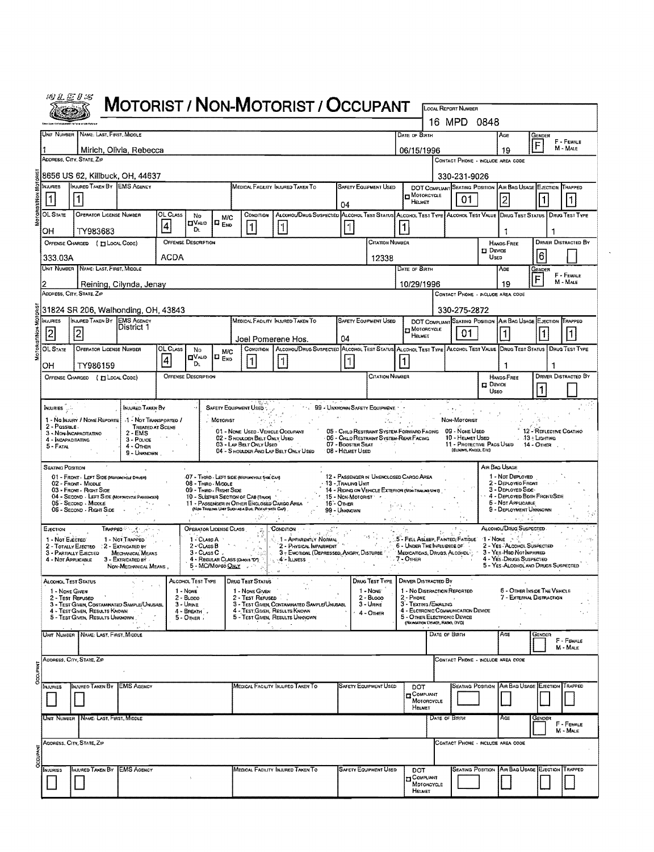| lnI<br>÷<br>ď.<br>v. |  |
|----------------------|--|
|                      |  |
|                      |  |

## MOTORIST / NON-MOTORIST / OCCUPANT

|   |                                                                                                                                                                                                                                            |                                                                                                  |                                                               |                 |                            |                        |                                                                |                                                                                                                                         |                            |                                       |                               |                                                                                           |                   | 16 MPD 0848                              |                                   |                                                                                          |                                                                 |                             |  |  |
|---|--------------------------------------------------------------------------------------------------------------------------------------------------------------------------------------------------------------------------------------------|--------------------------------------------------------------------------------------------------|---------------------------------------------------------------|-----------------|----------------------------|------------------------|----------------------------------------------------------------|-----------------------------------------------------------------------------------------------------------------------------------------|----------------------------|---------------------------------------|-------------------------------|-------------------------------------------------------------------------------------------|-------------------|------------------------------------------|-----------------------------------|------------------------------------------------------------------------------------------|-----------------------------------------------------------------|-----------------------------|--|--|
|   |                                                                                                                                                                                                                                            | UNIT NUMBER NAME: LAST, FIRST, MIDDLE                                                            |                                                               |                 |                            | DATE OF BIRTH          | GENDER<br>F                                                    | F - FEMALE                                                                                                                              |                            |                                       |                               |                                                                                           |                   |                                          |                                   |                                                                                          |                                                                 |                             |  |  |
|   |                                                                                                                                                                                                                                            | ADDRESS, CITY, STATE, ZIP                                                                        | Mirich, Olivia, Rebecca                                       |                 |                            |                        |                                                                |                                                                                                                                         |                            | 06/15/1996                            |                               | CONTACT PHONE - INCLUDE AREA CODE                                                         |                   | 19                                       | M - MALE                          |                                                                                          |                                                                 |                             |  |  |
|   |                                                                                                                                                                                                                                            | 8656 US 62, Killbuck, OH, 44637                                                                  |                                                               |                 |                            |                        |                                                                |                                                                                                                                         |                            |                                       |                               |                                                                                           |                   | 330-231-9026                             |                                   |                                                                                          |                                                                 |                             |  |  |
|   | <b>NUURIES</b>                                                                                                                                                                                                                             | INJURED TAKEN BY EMS AGENCY                                                                      |                                                               |                 |                            |                        |                                                                | MEDICAL FACILITY INJURED TAKEN TO                                                                                                       |                            |                                       | <b>SAFETY EQUIPMENT USED</b>  |                                                                                           |                   |                                          |                                   | DOT COMPLIANT SEATING POSITION AIR BAG USAGE EJECTION TRAPPED                            |                                                                 |                             |  |  |
|   | 11                                                                                                                                                                                                                                         |                                                                                                  |                                                               |                 |                            |                        |                                                                |                                                                                                                                         |                            | 04                                    |                               | $n$ Motorcycle<br>HELMET                                                                  |                   | 01                                       |                                   | 2                                                                                        |                                                                 | 11                          |  |  |
|   | OL State                                                                                                                                                                                                                                   | OPERATOR LICENSE NUMBER                                                                          |                                                               | <b>OL CLASS</b> | No<br><b>OVALID</b>        | M/C<br>$\Box$ $_{ENO}$ | CONDITION                                                      | ALCOHOL/DRUG SUSPECTED ALCOHOL TEST STATUS ALCOHOL TEST TYPE ALCOHOL TEST VALUE DRUG TEST STATUS   DRUG TEST TYPE                       |                            |                                       |                               |                                                                                           |                   |                                          |                                   |                                                                                          |                                                                 |                             |  |  |
|   | OH                                                                                                                                                                                                                                         | TY983683                                                                                         |                                                               | 4               | Dı                         |                        | 1                                                              |                                                                                                                                         |                            |                                       |                               |                                                                                           |                   |                                          |                                   | -1                                                                                       |                                                                 |                             |  |  |
|   |                                                                                                                                                                                                                                            | <b>OFFENSE DESCRIPTION</b><br><b>CITATION NUMBER</b><br>OFFENSE CHARGED ( HLOCAL CODE)           |                                                               |                 |                            |                        |                                                                |                                                                                                                                         |                            |                                       |                               |                                                                                           |                   |                                          |                                   | <b>HANDS-FREE</b><br>$\square$ Device<br>16<br>Usen                                      |                                                                 | <b>DRIVER DISTRACTED BY</b> |  |  |
|   |                                                                                                                                                                                                                                            | ACDA<br>333.03A<br>12338<br>UNIT NUMBER NAME: LAST, FIRST, MIDDLE<br>DATE OF BIRTH               |                                                               |                 |                            |                        |                                                                |                                                                                                                                         |                            |                                       |                               |                                                                                           |                   |                                          |                                   | AGE                                                                                      | GENDER                                                          |                             |  |  |
|   |                                                                                                                                                                                                                                            |                                                                                                  | Reining, Cilynda, Jenay                                       |                 |                            |                        |                                                                |                                                                                                                                         |                            |                                       |                               | 10/29/1996                                                                                |                   |                                          |                                   | 19                                                                                       | F                                                               | F - FEMALE<br>$M - MALE$    |  |  |
|   |                                                                                                                                                                                                                                            | ADDRESS, CITY, STATE, ZIP                                                                        |                                                               |                 |                            |                        |                                                                |                                                                                                                                         |                            |                                       |                               |                                                                                           |                   |                                          | CONTACT PHONE - INCLUDE AREA CODE |                                                                                          |                                                                 |                             |  |  |
|   | 31824 SR 206, Walhonding, OH, 43843<br>330-275-2872<br>INJURED TAKEN BY EMS AGENCY<br>MEDICAL FACILITY INJURED TAKEN TO<br><b>SAFETY EQUIPMENT USED</b><br><b>NJURIES</b><br>DOT COMPLIANT SEATING POSITION AIR BAG USAGE EJECTION TRAPPED |                                                                                                  |                                                               |                 |                            |                        |                                                                |                                                                                                                                         |                            |                                       |                               |                                                                                           |                   |                                          |                                   |                                                                                          |                                                                 |                             |  |  |
|   | 2                                                                                                                                                                                                                                          | 2                                                                                                | District 1                                                    |                 |                            |                        |                                                                |                                                                                                                                         |                            |                                       |                               | HELMET                                                                                    | MOTORCYCLE<br>01. |                                          |                                   |                                                                                          |                                                                 |                             |  |  |
|   | OL STATE                                                                                                                                                                                                                                   | OPERATOR LICENSE NUMBER                                                                          |                                                               | <b>OL CLASS</b> | No                         | M/C                    | Сомотном                                                       | Joel Pomerene Hos.<br>ALCOHOL/DRUG SUSPECTED ALCOHOL TEST STATUS ALCOHOL TEST TYPE ALCOHOL TEST VALUE DRUG TEST STATUS   DRUG TEST TYPE |                            | 04                                    |                               |                                                                                           |                   |                                          |                                   |                                                                                          |                                                                 |                             |  |  |
|   | ОН                                                                                                                                                                                                                                         | TY986159                                                                                         |                                                               | 4               | <b>ETVALID</b><br>Dı.      | $n_{END}$              | $\vert$ 1                                                      | I۱                                                                                                                                      |                            | $\vert$ 1                             |                               |                                                                                           |                   |                                          |                                   |                                                                                          |                                                                 |                             |  |  |
|   |                                                                                                                                                                                                                                            | OFFENSE CHARGED ( [ LOCAL CODE)                                                                  |                                                               |                 | <b>OFFENSE DESCRIPTION</b> |                        |                                                                |                                                                                                                                         |                            |                                       | <b>CITATION NUMBER</b>        |                                                                                           |                   |                                          |                                   | HANDS-FREE<br>$\Box$ Device                                                              |                                                                 | <b>DRIVER DISTRACTED BY</b> |  |  |
|   |                                                                                                                                                                                                                                            |                                                                                                  |                                                               |                 |                            |                        |                                                                |                                                                                                                                         |                            |                                       |                               |                                                                                           |                   | 11<br>Useo                               |                                   |                                                                                          |                                                                 |                             |  |  |
|   | Injuries <sub>(p</sub> .).                                                                                                                                                                                                                 | 1 - No Injury / None Reporte                                                                     | INJURED TAKEN BY<br>1 - Not Transported /                     |                 |                            | MOTORIST               | SAFETY EQUIPMENT USED                                          |                                                                                                                                         |                            |                                       | 99 - UNKNOWN SAFETY EQUIPMENT |                                                                                           |                   | 수학 가능한다.<br>Non-Motorist                 |                                   |                                                                                          |                                                                 |                             |  |  |
|   | 2 - Passible.                                                                                                                                                                                                                              | 3 - Non-Incapacitatino                                                                           | <b>TREATED AT SCENE</b><br>$2 - EMS$                          |                 |                            |                        | 01 - NONE USED-VEHICLE OCCUPANT                                |                                                                                                                                         |                            |                                       |                               | 05 - CHILD RESTRAINT SYSTEM-FORWARD FACING 09 - NONE USED                                 |                   |                                          |                                   |                                                                                          | 12 - REFLECTME COATINO                                          |                             |  |  |
|   | 4 - INCAPACITATING<br>5 - Fatal                                                                                                                                                                                                            |                                                                                                  | $3 - P_{OLICE}$<br>$4 -$ Omer<br>9 - Unknown                  |                 |                            |                        | 02 - S HOULDER BELT ONLY USED<br>03 - LAP BELT ONLY USED       | 04 - S HOULDER AND LAP BELT ONLY USED                                                                                                   |                            | 07 - BOOSTER SEAT<br>08 - HELMET USED |                               | - 06 - Chilo Restraint System-Rear Facing                                                 |                   | 10 - HELMET USED<br>(ELBOWS, KNEES, ETC) |                                   | 11 - Protective Pads Used 14 - OTHER                                                     | $13 +$ Lighting                                                 |                             |  |  |
|   | <b>SEATING POSITION</b>                                                                                                                                                                                                                    |                                                                                                  |                                                               |                 |                            |                        |                                                                |                                                                                                                                         |                            |                                       |                               |                                                                                           |                   |                                          |                                   | AIR BAG USAGE                                                                            |                                                                 |                             |  |  |
|   |                                                                                                                                                                                                                                            | 01 - FRONT - LEFT SIDE (MOTORCYCLE DRIVER)<br>02 - FRONT - MIDDLE                                |                                                               |                 | 08 - THRO - MIDDLE         |                        | -07 - THIRD - LEFT SIDE (MOTORCYCLE SIGE CAR)                  |                                                                                                                                         |                            | 13 - Trailing Unit                    |                               | 12 - PASSENGER IN UNENCLOSED CARGO AREA<br>in Paris Co.                                   |                   |                                          |                                   | 1 - Not Deployed<br>2 - DEPLOYED FRONT                                                   |                                                                 |                             |  |  |
|   |                                                                                                                                                                                                                                            | 03 - Front - Right Side<br>04 - SECOND - LEFT SIDE (MONORCYCLE PASSEMER)<br>05 - Second - Middle |                                                               |                 | 09 - THRO - RIGHT SIDE     |                        | 10 - SLEEPER SECTION OF CAB (TRUCK)                            | 11 - PASSENGER IN OTHER ENCLOSED CARGO AREA                                                                                             | 16 - Отнея                 | 15 - Non-Motorist Mark                |                               | 14 - RIDING ON VEHICLE EXTERIOR (NON-TRALIAD UNT)                                         |                   |                                          |                                   | 3 - DEPLOYED SIDE-<br>4 - DEPLOYED BOTH FRONT/SIDE<br>5 - Not Applicasle                 |                                                                 |                             |  |  |
|   |                                                                                                                                                                                                                                            | 06 - SECOND - RIGHT SIDE                                                                         |                                                               |                 | All Million                | <b>P</b> =             | (NON-TRAILING LINET SUCH AS A BUS, PICK-UP WITH CAP)<br>10°11' |                                                                                                                                         |                            | 99 - UNKNOWN                          |                               |                                                                                           |                   |                                          |                                   | 9 - DEPLOYMENT UNKNOWN                                                                   |                                                                 |                             |  |  |
|   | EJECTION                                                                                                                                                                                                                                   |                                                                                                  |                                                               |                 | OPERATOR LICENSE CLASS     |                        |                                                                | CONDITION                                                                                                                               | $\mathbb{R}^{K^{\star}}$ . |                                       |                               |                                                                                           |                   | <b>B</b>                                 |                                   | ALCOHOL/DRUG SUSPECTED                                                                   |                                                                 |                             |  |  |
|   | 1 - Not Electro                                                                                                                                                                                                                            | 2 - TOTALLY EJECTED : 2 - EXTRICATED BY                                                          | 1 - Not TRAPPED                                               |                 | 1 - Cuss A                 | $2 - Class B$          | - 20                                                           | 1 - Apparently Normal<br>AS T-APPARENTLY INCHINAL<br>- 2 - Physical Impairment<br>- 3 - Emotioni (Depressed, Angry, Disturbe            |                            |                                       | 745 - Gilberto                | .5 - FELL ASLEEP, FAINTED, FATIGUE<br>6 - UNDER THE INFLUENCE OF                          |                   |                                          |                                   | 1 - Nove $\frac{1}{2}$<br>2 - YES ALCOHOL SUSPECTED                                      |                                                                 |                             |  |  |
|   | 4 - Not Applicable                                                                                                                                                                                                                         | 3 - PARTIALLY EJECTED                                                                            | Mechanical Means<br>3 - EXTRICATED BY<br>NON-MECHANICAL MEANS |                 | $3 - ClassC$ .             |                        | 4 - REGULAR CLASS (DHOIS TOT)<br>5 - MC/Moreo QNLY             | <sub>is t</sub> 4'≁ Illness <sub>and</sub> a <sub>s</sub>                                                                               |                            |                                       |                               | MEDICATIONS, DRUGS, ALCOHOL:<br>$7 -$ Other                                               |                   |                                          |                                   | 3 - YES Hap Not MPARED<br>4 - YES DRUGS SUSPECTED<br>5 - YES-ALCOHOL AND DRUGS SUSPECTED |                                                                 |                             |  |  |
|   |                                                                                                                                                                                                                                            | Alcohol Test Status                                                                              |                                                               |                 | ALCOHOL TEST TYPE          |                        | <b>DRUG TEST STATUS</b>                                        |                                                                                                                                         |                            |                                       | DRUG TEST TYPE                | DRIVER DISTRACTED BY                                                                      |                   |                                          |                                   |                                                                                          |                                                                 |                             |  |  |
|   | 1 - NONE GIVEN                                                                                                                                                                                                                             | 2 - IEST REFUSED                                                                                 |                                                               |                 | 1 - None<br>2 - BLoop      |                        | 1 - NONE GIVEN<br>2 - Test Refused III                         |                                                                                                                                         |                            |                                       | 1 - None<br>2 - Broop         | 1 - No DISTRACTION REPORTED<br>- Рноме                                                    |                   |                                          |                                   |                                                                                          | <b>6 - OTHER INSIDE THE VEHICLE</b><br>7 - External Distraction |                             |  |  |
|   |                                                                                                                                                                                                                                            | 3 - TEST GIVEN, CONTAMPATED SAMPLE/UNUSABL<br>4 - Test Given, Results Known                      |                                                               |                 | $3 -$ Urne<br>4 - BREATH   |                        |                                                                | 3 - TEST GIVEN, CONTAMINATED SAMPLE/UNUSABL<br>4 - Test Given, Results Known<br>5 - TEST GIVEN, RESULTS UNKNOWN                         |                            |                                       | 3 - Unwe<br>4 - OTHER         | 3 - TEXTING/EMAILING<br>4 - Eletronic Communication Device<br>5 - OTHER ELECTRONIC DEVICE |                   |                                          |                                   |                                                                                          |                                                                 | ч., к                       |  |  |
|   |                                                                                                                                                                                                                                            | 5 - Test Given, Results Unknown                                                                  |                                                               |                 | $5 -$ OTHER                |                        |                                                                |                                                                                                                                         |                            |                                       |                               | (NAWSATION DEVICE, RADIO, DVD)                                                            |                   |                                          |                                   |                                                                                          |                                                                 |                             |  |  |
|   |                                                                                                                                                                                                                                            | UNIT NUMBER   NAME: LAST, FIRST, MIDDLE                                                          |                                                               |                 |                            |                        |                                                                |                                                                                                                                         |                            |                                       |                               |                                                                                           | DATE OF BIRTH     |                                          |                                   | AGE                                                                                      | GENDER                                                          | F - FEMALE<br>M - MALE      |  |  |
|   |                                                                                                                                                                                                                                            | ADDRESS, CITY, STATE, ZIP                                                                        |                                                               |                 |                            |                        |                                                                |                                                                                                                                         |                            |                                       |                               |                                                                                           |                   | CONTACT PHONE - INCLUDE AREA CODE        |                                   |                                                                                          |                                                                 |                             |  |  |
| g |                                                                                                                                                                                                                                            |                                                                                                  |                                                               |                 |                            |                        |                                                                |                                                                                                                                         |                            |                                       |                               |                                                                                           |                   |                                          |                                   |                                                                                          |                                                                 |                             |  |  |
|   | INJURIES                                                                                                                                                                                                                                   | INJURED TAKEN BY                                                                                 | <b>EMS AGENCY</b>                                             |                 |                            |                        |                                                                | Medical Facility Injured Taken To                                                                                                       |                            |                                       | <b>SAFETY EQUIPMENT USED</b>  | DOT<br>COMPLIANT                                                                          |                   |                                          |                                   | SEATING POSITION AIR BAG USAGE EJECTION                                                  |                                                                 | TRAPPED                     |  |  |
|   |                                                                                                                                                                                                                                            |                                                                                                  |                                                               |                 |                            |                        |                                                                |                                                                                                                                         |                            |                                       |                               | MOTORCYCLE<br>HELMET                                                                      |                   |                                          |                                   |                                                                                          |                                                                 |                             |  |  |
|   |                                                                                                                                                                                                                                            | UNIT NUMBER   NAME: LAST, FIRST, MIDDLE                                                          |                                                               |                 |                            |                        |                                                                |                                                                                                                                         |                            |                                       |                               |                                                                                           | DATE OF BIRTH     |                                          |                                   | AGE                                                                                      | GENDER                                                          | F - FEMALE<br>M - MALE      |  |  |
|   |                                                                                                                                                                                                                                            | ADDRESS, CITY, STATE, ZIP                                                                        |                                                               |                 |                            |                        |                                                                |                                                                                                                                         |                            |                                       |                               |                                                                                           |                   | CONTACT PHONE - INCLUDE AREA CODE        |                                   |                                                                                          |                                                                 |                             |  |  |
|   |                                                                                                                                                                                                                                            |                                                                                                  |                                                               |                 |                            |                        |                                                                |                                                                                                                                         |                            |                                       |                               |                                                                                           |                   |                                          |                                   |                                                                                          |                                                                 |                             |  |  |
|   | NJURIES                                                                                                                                                                                                                                    | INJURED TAXEN BY                                                                                 | <b>EMS AGENCY</b>                                             |                 |                            |                        |                                                                | MEDICAL FACILITY INJURED TAKEN TO                                                                                                       |                            |                                       | <b>SAFETY EQUIPMENT USED</b>  | DOT<br><b>D</b> COMPLIANT                                                                 |                   |                                          |                                   | SEATING POSTION AIR BAG USAGE EJECTION TRAPPED                                           |                                                                 |                             |  |  |
|   |                                                                                                                                                                                                                                            |                                                                                                  |                                                               |                 |                            |                        |                                                                |                                                                                                                                         |                            |                                       |                               | Мотонсусце<br>HELMET                                                                      |                   |                                          |                                   |                                                                                          |                                                                 |                             |  |  |